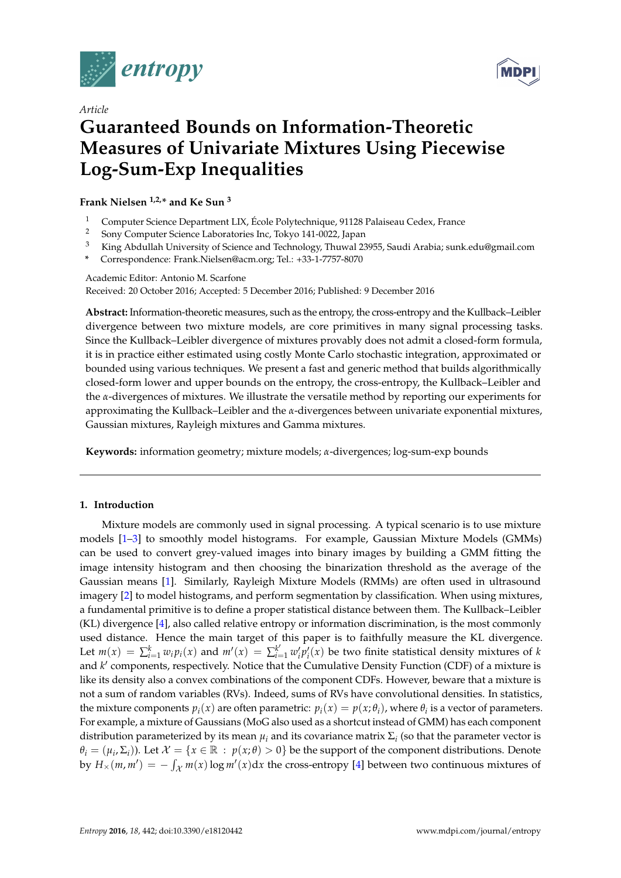



# *Article*

# **Guaranteed Bounds on Information-Theoretic Measures of Univariate Mixtures Using Piecewise Log-Sum-Exp Inequalities**

**Frank Nielsen 1,2,\* and Ke Sun <sup>3</sup>**

- <sup>1</sup> Computer Science Department LIX, École Polytechnique, 91128 Palaiseau Cedex, France<br><sup>2</sup> Sony Computer Science Laboratories Ins. Televe 141,0022, Japan
- <sup>2</sup> Sony Computer Science Laboratories Inc, Tokyo 141-0022, Japan<br><sup>3</sup> King Abdullah University of Science and Technology Thuwal 23
- <sup>3</sup> King Abdullah University of Science and Technology, Thuwal 23955, Saudi Arabia; sunk.edu@gmail.com
- **\*** Correspondence: Frank.Nielsen@acm.org; Tel.: +33-1-7757-8070

Academic Editor: Antonio M. Scarfone Received: 20 October 2016; Accepted: 5 December 2016; Published: 9 December 2016

**Abstract:** Information-theoretic measures, such as the entropy, the cross-entropy and the Kullback–Leibler divergence between two mixture models, are core primitives in many signal processing tasks. Since the Kullback–Leibler divergence of mixtures provably does not admit a closed-form formula, it is in practice either estimated using costly Monte Carlo stochastic integration, approximated or bounded using various techniques. We present a fast and generic method that builds algorithmically closed-form lower and upper bounds on the entropy, the cross-entropy, the Kullback–Leibler and the *α*-divergences of mixtures. We illustrate the versatile method by reporting our experiments for approximating the Kullback–Leibler and the *α*-divergences between univariate exponential mixtures, Gaussian mixtures, Rayleigh mixtures and Gamma mixtures.

**Keywords:** information geometry; mixture models; *α*-divergences; log-sum-exp bounds

# **1. Introduction**

Mixture models are commonly used in signal processing. A typical scenario is to use mixture models [\[1](#page-22-0)[–3\]](#page-22-1) to smoothly model histograms. For example, Gaussian Mixture Models (GMMs) can be used to convert grey-valued images into binary images by building a GMM fitting the image intensity histogram and then choosing the binarization threshold as the average of the Gaussian means [\[1\]](#page-22-0). Similarly, Rayleigh Mixture Models (RMMs) are often used in ultrasound imagery [\[2\]](#page-22-2) to model histograms, and perform segmentation by classification. When using mixtures, a fundamental primitive is to define a proper statistical distance between them. The Kullback–Leibler (KL) divergence [\[4\]](#page-22-3), also called relative entropy or information discrimination, is the most commonly used distance. Hence the main target of this paper is to faithfully measure the KL divergence. Let  $m(x) = \sum_{i=1}^{k} w_i p_i(x)$  and  $m'(x) = \sum_{i=1}^{k'} w'_i p'_i(x)$  be two finite statistical density mixtures of k and *k'* components, respectively. Notice that the Cumulative Density Function (CDF) of a mixture is like its density also a convex combinations of the component CDFs. However, beware that a mixture is not a sum of random variables (RVs). Indeed, sums of RVs have convolutional densities. In statistics, the mixture components  $p_i(x)$  are often parametric:  $p_i(x) = p(x; \theta_i)$ , where  $\theta_i$  is a vector of parameters. For example, a mixture of Gaussians (MoG also used as a shortcut instead of GMM) has each component distribution parameterized by its mean  $\mu_i$  and its covariance matrix  $\Sigma_i$  (so that the parameter vector is  $\theta_i = (\mu_i, \Sigma_i)$ ). Let  $\mathcal{X} = \{x \in \mathbb{R} : p(x; \theta) > 0\}$  be the support of the component distributions. Denote by  $H_\times(m, m') = -\int_{\mathcal{X}} m(x) \log m'(x) dx$  the cross-entropy [\[4\]](#page-22-3) between two continuous mixtures of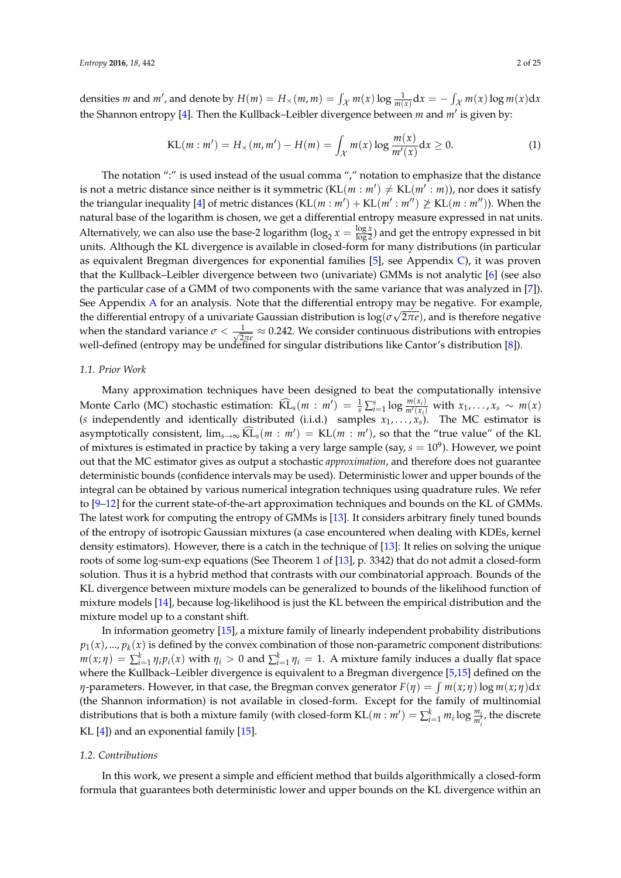densities *m* and *m'*, and denote by  $H(m) = H_\times(m, m) = \int_{\mathcal{X}} m(x) \log \frac{1}{m(x)} dx = -\int_{\mathcal{X}} m(x) \log m(x) dx$ the Shannon entropy [\[4\]](#page-22-3). Then the Kullback–Leibler divergence between *m* and *m'* is given by:

$$
KL(m : m') = H_{\times}(m, m') - H(m) = \int_{\mathcal{X}} m(x) \log \frac{m(x)}{m'(x)} dx \ge 0.
$$
 (1)

The notation ":" is used instead of the usual comma "," notation to emphasize that the distance is not a metric distance since neither is it symmetric  $(KL(m : m') \neq KL(m' : m))$ , nor does it satisfy the triangular inequality [\[4\]](#page-22-3) of metric distances  $(KL(m : m') + KL(m' : m'') \not\geq KL(m : m''))$ . When the natural base of the logarithm is chosen, we get a differential entropy measure expressed in nat units. Alternatively, we can also use the base-2 logarithm ( $\log_2 x = \frac{\log x}{\log 2}$ ) and get the entropy expressed in bit units. Although the KL divergence is available in closed-form for many distributions (in particular as equivalent Bregman divergences for exponential families [\[5\]](#page-22-4), see Appendix [C\)](#page-21-0), it was proven that the Kullback–Leibler divergence between two (univariate) GMMs is not analytic [\[6\]](#page-23-0) (see also the particular case of a GMM of two components with the same variance that was analyzed in [\[7\]](#page-23-1)). See Appendix [A](#page-20-0) for an analysis. Note that the differential entropy may be negative. For example, the differential entropy of a univariate Gaussian distribution is log(*σ* √ 2*πe*), and is therefore negative when the standard variance  $\sigma < \frac{1}{\sqrt{2}}$  $\frac{1}{2\pi e} \approx 0.242$ . We consider continuous distributions with entropies well-defined (entropy may be undefined for singular distributions like Cantor's distribution [\[8\]](#page-23-2)).

# *1.1. Prior Work*

Many approximation techniques have been designed to beat the computationally intensive Monte Carlo (MC) stochastic estimation:  $\widehat{KL}_s(m : m') = \frac{1}{s} \sum_{i=1}^s \log \frac{m(x_i)}{m'(x_i)}$  $\frac{m(x_i)}{m'(x_i)}$  with  $x_1, \ldots, x_s \sim m(x)$ (*s* independently and identically distributed (i.i.d.) samples  $x_1, \ldots, x_s$ ). The MC estimator is asymptotically consistent,  $\lim_{s\to\infty} KL_s(m : m') = KL(m : m')$ , so that the "true value" of the KL of mixtures is estimated in practice by taking a very large sample (say,  $s = 10^9$ ). However, we point out that the MC estimator gives as output a stochastic *approximation*, and therefore does not guarantee deterministic bounds (confidence intervals may be used). Deterministic lower and upper bounds of the integral can be obtained by various numerical integration techniques using quadrature rules. We refer to [\[9](#page-23-3)[–12\]](#page-23-4) for the current state-of-the-art approximation techniques and bounds on the KL of GMMs. The latest work for computing the entropy of GMMs is [\[13\]](#page-23-5). It considers arbitrary finely tuned bounds of the entropy of isotropic Gaussian mixtures (a case encountered when dealing with KDEs, kernel density estimators). However, there is a catch in the technique of [\[13\]](#page-23-5): It relies on solving the unique roots of some log-sum-exp equations (See Theorem 1 of [\[13\]](#page-23-5), p. 3342) that do not admit a closed-form solution. Thus it is a hybrid method that contrasts with our combinatorial approach. Bounds of the KL divergence between mixture models can be generalized to bounds of the likelihood function of mixture models [\[14\]](#page-23-6), because log-likelihood is just the KL between the empirical distribution and the mixture model up to a constant shift.

In information geometry [\[15\]](#page-23-7), a mixture family of linearly independent probability distributions  $p_1(x)$ , ...,  $p_k(x)$  is defined by the convex combination of those non-parametric component distributions:  $m(x; \eta) = \sum_{i=1}^{k} \eta_i p_i(x)$  with  $\eta_i > 0$  and  $\sum_{i=1}^{k} \eta_i = 1$ . A mixture family induces a dually flat space where the Kullback–Leibler divergence is equivalent to a Bregman divergence [\[5](#page-22-4)[,15\]](#page-23-7) defined on the *η*-parameters. However, in that case, the Bregman convex generator  $F(\eta) = \int m(x; \eta) \log m(x; \eta) \text{d}x$ (the Shannon information) is not available in closed-form. Except for the family of multinomial distributions that is both a mixture family (with closed-form  $KL(m : m') = \sum_{i=1}^{k} m_i \log \frac{m_i}{m'_i}$ , the discrete KL [\[4\]](#page-22-3)) and an exponential family [\[15\]](#page-23-7).

#### *1.2. Contributions*

In this work, we present a simple and efficient method that builds algorithmically a closed-form formula that guarantees both deterministic lower and upper bounds on the KL divergence within an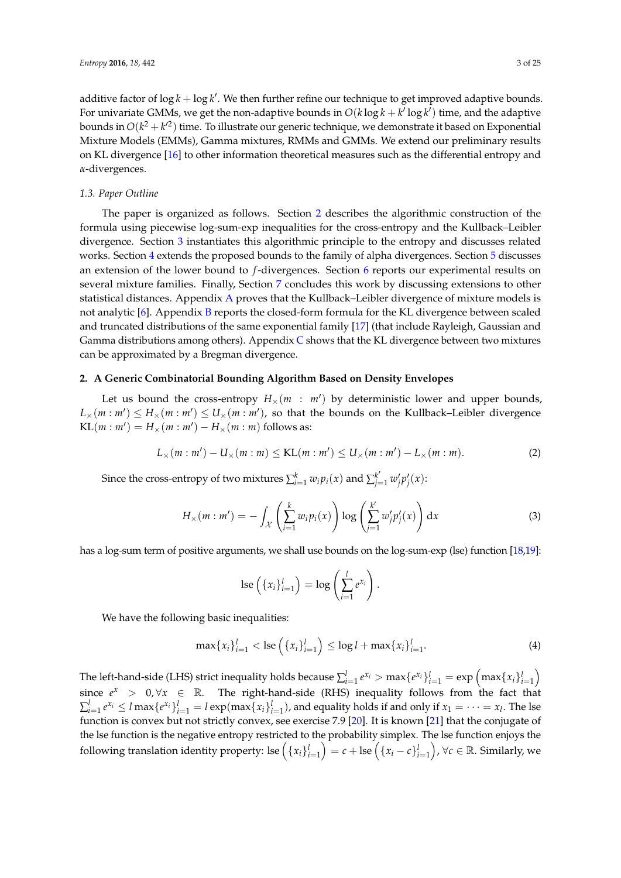additive factor of  $\log k + \log k'$ . We then further refine our technique to get improved adaptive bounds. For univariate GMMs, we get the non-adaptive bounds in  $O(k\log k + k'\log k')$  time, and the adaptive bounds in  $O(k^2 + k'^2)$  time. To illustrate our generic technique, we demonstrate it based on Exponential Mixture Models (EMMs), Gamma mixtures, RMMs and GMMs. We extend our preliminary results on KL divergence [\[16\]](#page-23-8) to other information theoretical measures such as the differential entropy and *α*-divergences.

#### *1.3. Paper Outline*

The paper is organized as follows. Section [2](#page-2-0) describes the algorithmic construction of the formula using piecewise log-sum-exp inequalities for the cross-entropy and the Kullback–Leibler divergence. Section [3](#page-8-0) instantiates this algorithmic principle to the entropy and discusses related works. Section [4](#page-10-0) extends the proposed bounds to the family of alpha divergences. Section [5](#page-13-0) discusses an extension of the lower bound to *f*-divergences. Section [6](#page-14-0) reports our experimental results on several mixture families. Finally, Section [7](#page-19-0) concludes this work by discussing extensions to other statistical distances. Appendix [A](#page-20-0) proves that the Kullback–Leibler divergence of mixture models is not analytic [\[6\]](#page-23-0). Appendix [B](#page-21-1) reports the closed-form formula for the KL divergence between scaled and truncated distributions of the same exponential family [\[17\]](#page-23-9) (that include Rayleigh, Gaussian and Gamma distributions among others). Appendix  $C$  shows that the KL divergence between two mixtures can be approximated by a Bregman divergence.

#### <span id="page-2-0"></span>**2. A Generic Combinatorial Bounding Algorithm Based on Density Envelopes**

Let us bound the cross-entropy  $H_{\times}(m : m')$  by deterministic lower and upper bounds,  $L_\times(m:m')\leq H_\times(m:m')\leq U_\times(m:m'),$  so that the bounds on the Kullback–Leibler divergence  $KL(m : m') = H_\times(m : m') - H_\times(m : m)$  follows as:

$$
L_{\times}(m:m') - U_{\times}(m:m) \leq KL(m:m') \leq U_{\times}(m:m') - L_{\times}(m:m).
$$
 (2)

Since the cross-entropy of two mixtures  $\sum_{i=1}^{k} w_i p_i(x)$  and  $\sum_{j=1}^{k'} w'_j p'_j(x)$ :

<span id="page-2-1"></span>
$$
H_{\times}(m:m') = -\int_{\mathcal{X}} \left( \sum_{i=1}^{k} w_i p_i(x) \right) \log \left( \sum_{j=1}^{k'} w'_j p'_j(x) \right) dx \tag{3}
$$

has a log-sum term of positive arguments, we shall use bounds on the log-sum-exp (lse) function [\[18,](#page-23-10)[19\]](#page-23-11):

$$
\operatorname{lse}\left(\left\{x_i\right\}_{i=1}^l\right) = \log\left(\sum_{i=1}^l e^{x_i}\right).
$$

We have the following basic inequalities:

$$
\max\{x_i\}_{i=1}^l < \text{lse}\left(\{x_i\}_{i=1}^l\right) \le \log l + \max\{x_i\}_{i=1}^l. \tag{4}
$$

The left-hand-side (LHS) strict inequality holds because  $\sum_{i=1}^l e^{x_i} > \max\{e^{x_i}\}_{i=1}^l = \exp\left(\max\{x_i\}_{i=1}^l\right)$ since  $e^x$  > 0,  $\forall x \in \mathbb{R}$ . The right-hand-side (RHS) inequality follows from the fact that  $\sum_{i=1}^l e^{x_i} \leq l \max\{e^{x_i}\}_{i=1}^l = l \exp(\max\{x_i\}_{i=1}^l)$ , and equality holds if and only if  $x_1 = \cdots = x_l$ . The lse function is convex but not strictly convex, see exercise 7.9 [\[20\]](#page-23-12). It is known [\[21\]](#page-23-13) that the conjugate of the lse function is the negative entropy restricted to the probability simplex. The lse function enjoys the following translation identity property: lse  $\left(\{x_i\}_{i=1}^l\right)=c+\text{lse}\left(\{x_i-c\}_{i=1}^l\right)$ ,  $\forall c\in\mathbb{R}.$  Similarly, we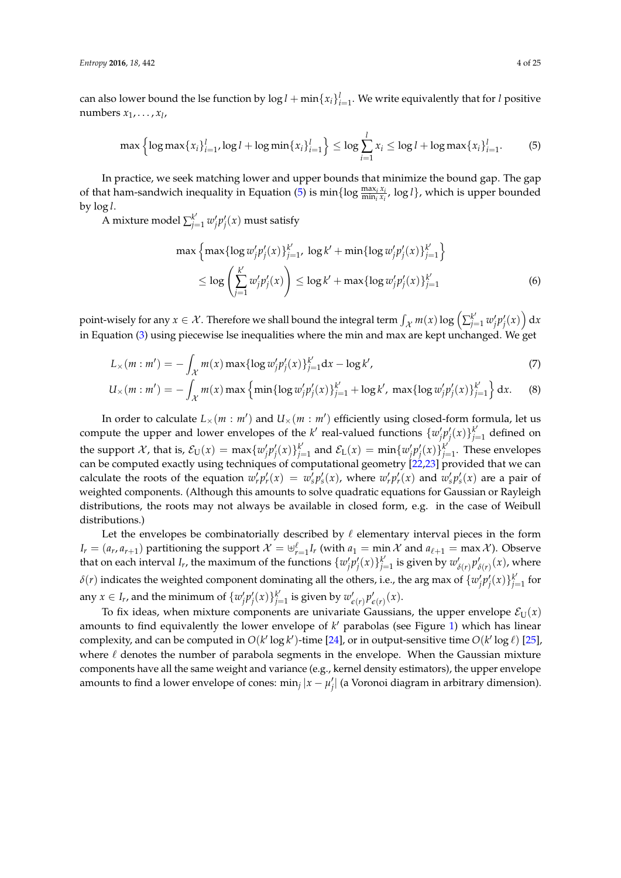can also lower bound the lse function by  $\log l + \min\{x_i\}_{i=1}^l$ . We write equivalently that for *l* positive numbers *x*1, . . . , *x<sup>l</sup>* ,

<span id="page-3-0"></span>
$$
\max\left\{\log\max\{x_i\}_{i=1}^l,\log l+\log\min\{x_i\}_{i=1}^l\right\}\leq \log\sum_{i=1}^l x_i\leq \log l+\log\max\{x_i\}_{i=1}^l.\tag{5}
$$

In practice, we seek matching lower and upper bounds that minimize the bound gap. The gap of that ham-sandwich inequality in Equation [\(5\)](#page-3-0) is  $\min\{\log \frac{\max_i x_i}{\min_i x_i}, \log l\}$ , which is upper bounded by log *l*.

A mixture model  $\sum_{j=1}^{k'} w'_j p'_j(x)$  must satisfy

<span id="page-3-2"></span><span id="page-3-1"></span>
$$
\max \left\{ \max \{ \log w'_j p'_j(x) \}_{j=1}^{k'} , \log k' + \min \{ \log w'_j p'_j(x) \}_{j=1}^{k'} \right\} \n\leq \log \left( \sum_{j=1}^{k'} w'_j p'_j(x) \right) \leq \log k' + \max \{ \log w'_j p'_j(x) \}_{j=1}^{k'} \n\tag{6}
$$

point-wisely for any  $x \in \mathcal{X}$ . Therefore we shall bound the integral term  $\int_{\mathcal{X}} m(x) \log \left( \sum_{j=1}^{k'} w_j' p_j'(x) \right) dx$ in Equation [\(3\)](#page-2-1) using piecewise lse inequalities where the min and max are kept unchanged. We get

$$
L_{\times}(m:m') = -\int_{\mathcal{X}} m(x) \max \{ \log w'_j p'_j(x) \}_{j=1}^{k'} dx - \log k', \tag{7}
$$

$$
U_{\times}(m:m') = -\int_{\mathcal{X}} m(x) \max \left\{ \min \{ \log w'_j p'_j(x) \}_{j=1}^{k'} + \log k', \, \max \{ \log w'_j p'_j(x) \}_{j=1}^{k'} \right\} dx. \tag{8}
$$

In order to calculate  $L_{\times}(m : m')$  and  $U_{\times}(m : m')$  efficiently using closed-form formula, let us compute the upper and lower envelopes of the *k*' real-valued functions  $\{w'_j p'_j(x)\}_{j=1}^k$  defined on the support X, that is,  $\mathcal{E}_U(x) = \max\{w'_j p'_j(x)\}_{j=1}^k$  and  $\mathcal{E}_L(x) = \min\{w'_j p'_j(x)\}_{j=1}^k$ . These envelopes can be computed exactly using techniques of computational geometry  $\left[22,23\right]$  $\left[22,23\right]$  $\left[22,23\right]$  provided that we can calculate the roots of the equation  $w_r' p_r'(x) = w_s' p_s'(x)$ , where  $w_r' p_r'(x)$  and  $w_s' p_s'(x)$  are a pair of weighted components. (Although this amounts to solve quadratic equations for Gaussian or Rayleigh distributions, the roots may not always be available in closed form, e.g. in the case of Weibull distributions.)

Let the envelopes be combinatorially described by  $\ell$  elementary interval pieces in the form  $I_r = (a_r, a_{r+1})$  partitioning the support  $\mathcal{X} = \biguplus_{r=1}^{\ell} I_r$  (with  $a_1 = \min \mathcal{X}$  and  $a_{\ell+1} = \max \mathcal{X}$ ). Observe that on each interval  $I_r$ , the maximum of the functions  $\{w'_j p'_j(x)\}_{j=1}^{k'}$  is given by  $w'_{\delta(r)} p'_{\delta(r)}(x)$ , where  $\delta(r)$  indicates the weighted component dominating all the others, i.e., the arg max of  $\{w'_j p'_j(x)\}_{j=1}^{k'}$  for any  $x \in I_r$ , and the minimum of  $\{w'_j p'_j(x)\}_{j=1}^k$  is given by  $w'_{\epsilon(r)} p'_{\epsilon(r)}(x)$ .

To fix ideas, when mixture components are univariate Gaussians, the upper envelope  $\mathcal{E}_{U}(x)$ amounts to find equivalently the lower envelope of k' parabolas (see Figure [1\)](#page-4-0) which has linear complexity, and can be computed in  $O(k' \log k')$ -time [\[24\]](#page-23-16), or in output-sensitive time  $O(k' \log \ell)$  [\[25\]](#page-23-17), where  $\ell$  denotes the number of parabola segments in the envelope. When the Gaussian mixture components have all the same weight and variance (e.g., kernel density estimators), the upper envelope amounts to find a lower envelope of cones: min<sub>j</sub> |*x* − *µ'*<sub>j</sub>| (a Voronoi diagram in arbitrary dimension).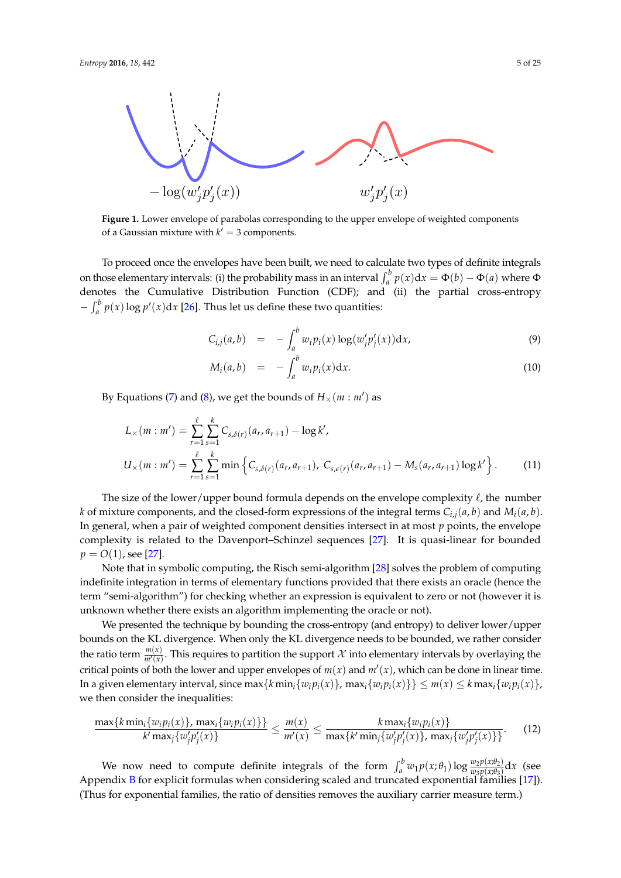<span id="page-4-0"></span>

**Figure 1.** Lower envelope of parabolas corresponding to the upper envelope of weighted components of a Gaussian mixture with  $k' = 3$  components.

To proceed once the envelopes have been built, we need to calculate two types of definite integrals on those elementary intervals: (i) the probability mass in an interval  $\int_a^b p(x) dx = \Phi(b) - \Phi(a)$  where  $\Phi$ denotes the Cumulative Distribution Function (CDF); and (ii) the partial cross-entropy  $-\int_a^b p(x) \log p'(x) dx$  [\[26\]](#page-23-18). Thus let us define these two quantities:

$$
C_{i,j}(a,b) = -\int_a^b w_i p_i(x) \log(w'_j p'_j(x)) dx,
$$
\n(9)

$$
M_i(a,b) = -\int_a^b w_i p_i(x) \mathrm{d}x. \tag{10}
$$

By Equations [\(7\)](#page-3-1) and [\(8\)](#page-3-2), we get the bounds of  $H_\times(m:m')$  as

$$
L_{\times}(m : m') = \sum_{r=1}^{\ell} \sum_{s=1}^{k} C_{s,\delta(r)}(a_r, a_{r+1}) - \log k',
$$
  
\n
$$
U_{\times}(m : m') = \sum_{r=1}^{\ell} \sum_{s=1}^{k} \min \left\{ C_{s,\delta(r)}(a_r, a_{r+1}), C_{s,\epsilon(r)}(a_r, a_{r+1}) - M_s(a_r, a_{r+1}) \log k' \right\}.
$$
 (11)

The size of the lower/upper bound formula depends on the envelope complexity  $\ell$ , the number *k* of mixture components, and the closed-form expressions of the integral terms  $C_{i,j}(a, b)$  and  $M_i(a, b)$ . In general, when a pair of weighted component densities intersect in at most *p* points, the envelope complexity is related to the Davenport–Schinzel sequences [\[27\]](#page-23-19). It is quasi-linear for bounded  $p = O(1)$ , see [\[27\]](#page-23-19).

Note that in symbolic computing, the Risch semi-algorithm [\[28\]](#page-23-20) solves the problem of computing indefinite integration in terms of elementary functions provided that there exists an oracle (hence the term "semi-algorithm") for checking whether an expression is equivalent to zero or not (however it is unknown whether there exists an algorithm implementing the oracle or not).

We presented the technique by bounding the cross-entropy (and entropy) to deliver lower/upper bounds on the KL divergence. When only the KL divergence needs to be bounded, we rather consider the ratio term  $\frac{m(x)}{m'(x)}$ . This requires to partition the support X into elementary intervals by overlaying the critical points of both the lower and upper envelopes of  $m(x)$  and  $m'(x)$ , which can be done in linear time. In a given elementary interval, since  $\max\{k \min_i \{w_i p_i(x)\}\$ ,  $\max_i \{w_i p_i(x)\}\} \leq m(x) \leq k \max_i \{w_i p_i(x)\}\$ we then consider the inequalities:

$$
\frac{\max\{k\min_i\{w_i p_i(x)\}\text{, } \max_i\{w_i p_i(x)\}\}}{k'\max_i\{w'_j p'_j(x)\}} \le \frac{m(x)}{m'(x)} \le \frac{k\max_i\{w_i p_i(x)\}}{\max\{k'\min_i\{w'_j p'_j(x)\}\text{, } \max_i\{w'_j p'_j(x)\}\}}.\tag{12}
$$

We now need to compute definite integrals of the form  $\int_a^b w_1 p(x; \theta_1) \log \frac{w_2 p(x; \theta_2)}{w_3 p(x; \theta_3)} dx$  (see Appendix [B](#page-21-1) for explicit formulas when considering scaled and truncated exponential families [\[17\]](#page-23-9)). (Thus for exponential families, the ratio of densities removes the auxiliary carrier measure term.)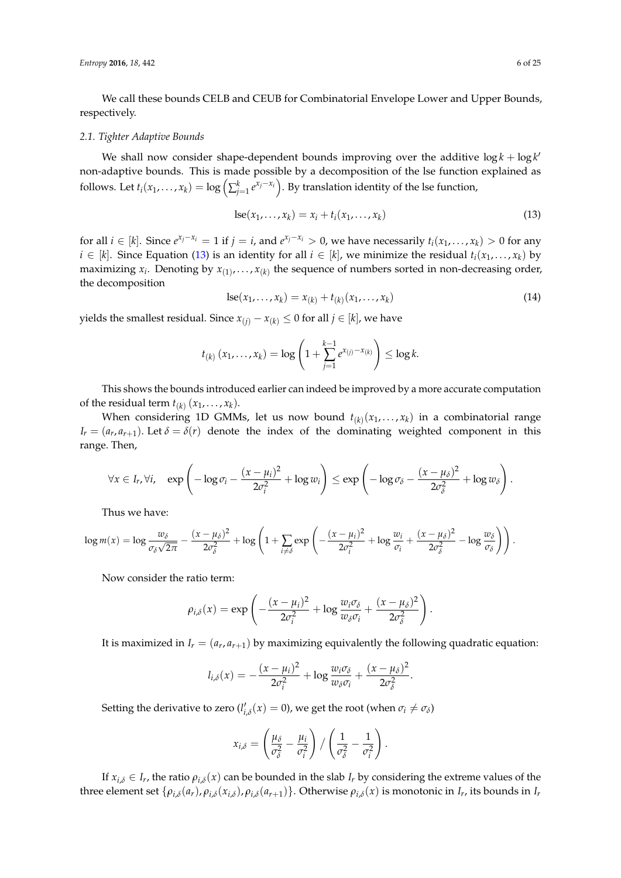We call these bounds CELB and CEUB for Combinatorial Envelope Lower and Upper Bounds, respectively.

#### <span id="page-5-1"></span>*2.1. Tighter Adaptive Bounds*

We shall now consider shape-dependent bounds improving over the additive  $\log k + \log k'$ non-adaptive bounds. This is made possible by a decomposition of the lse function explained as follows. Let  $t_i(x_1,\ldots,x_k) = \log\left(\sum_{j=1}^k e^{x_j-x_i}\right)$ . By translation identity of the lse function,

<span id="page-5-0"></span>
$$
lse(x_1,\ldots,x_k)=x_i+t_i(x_1,\ldots,x_k)
$$
\n(13)

for all  $i \in [k]$ . Since  $e^{x_j - x_i} = 1$  if  $j = i$ , and  $e^{x_j - x_i} > 0$ , we have necessarily  $t_i(x_1, ..., x_k) > 0$  for any  $i \in [k]$ . Since Equation [\(13\)](#page-5-0) is an identity for all  $i \in [k]$ , we minimize the residual  $t_i(x_1, \ldots, x_k)$  by maximizing  $x_i$ . Denoting by  $x_{(1)}, \ldots, x_{(k)}$  the sequence of numbers sorted in non-decreasing order, the decomposition

<span id="page-5-2"></span>
$$
lse(x_1,...,x_k) = x_{(k)} + t_{(k)}(x_1,...,x_k)
$$
\n(14)

yields the smallest residual. Since *x*<sub>(*j*)</sub> − *x*<sub>(*k*)</sub> ≤ 0 for all *j* ∈ [*k*], we have

$$
t_{(k)}(x_1,...,x_k) = \log \left(1 + \sum_{j=1}^{k-1} e^{x_{(j)}-x_{(k)}}\right) \le \log k.
$$

This shows the bounds introduced earlier can indeed be improved by a more accurate computation of the residual term  $t_{(k)}$   $(x_1, \ldots, x_k)$ .

When considering 1D GMMs, let us now bound  $t_{(k)}(x_1,\ldots,x_k)$  in a combinatorial range  $I_r = (a_r, a_{r+1})$ . Let  $\delta = \delta(r)$  denote the index of the dominating weighted component in this range. Then,

$$
\forall x \in I_r, \forall i, \quad \exp\left(-\log \sigma_i - \frac{(x-\mu_i)^2}{2\sigma_i^2} + \log w_i\right) \leq \exp\left(-\log \sigma_\delta - \frac{(x-\mu_\delta)^2}{2\sigma_\delta^2} + \log w_\delta\right).
$$

Thus we have:

$$
\log m(x) = \log \frac{w_{\delta}}{\sigma_{\delta}\sqrt{2\pi}} - \frac{(x - \mu_{\delta})^2}{2\sigma_{\delta}^2} + \log \left(1 + \sum_{i \neq \delta} \exp \left(-\frac{(x - \mu_{i})^2}{2\sigma_{i}^2} + \log \frac{w_{i}}{\sigma_{i}} + \frac{(x - \mu_{\delta})^2}{2\sigma_{\delta}^2} - \log \frac{w_{\delta}}{\sigma_{\delta}}\right)\right).
$$

Now consider the ratio term:

$$
\rho_{i,\delta}(x) = \exp\left(-\frac{(x-\mu_i)^2}{2\sigma_i^2} + \log \frac{w_i\sigma_{\delta}}{w_{\delta}\sigma_i} + \frac{(x-\mu_{\delta})^2}{2\sigma_{\delta}^2}\right).
$$

It is maximized in  $I_r = (a_r, a_{r+1})$  by maximizing equivalently the following quadratic equation:

$$
l_{i,\delta}(x) = -\frac{(x-\mu_i)^2}{2\sigma_i^2} + \log \frac{w_i \sigma_{\delta}}{w_{\delta} \sigma_i} + \frac{(x-\mu_{\delta})^2}{2\sigma_{\delta}^2}.
$$

Setting the derivative to zero ( $l'_{i,\delta}(x) = 0$ ), we get the root (when  $\sigma_i \neq \sigma_\delta$ )

$$
x_{i,\delta} = \left(\frac{\mu_{\delta}}{\sigma_{\delta}^2} - \frac{\mu_i}{\sigma_i^2}\right) / \left(\frac{1}{\sigma_{\delta}^2} - \frac{1}{\sigma_i^2}\right).
$$

If  $x_{i,\delta} \in I_r$ , the ratio  $\rho_{i,\delta}(x)$  can be bounded in the slab  $I_r$  by considering the extreme values of the three element set  $\{\rho_{i,\delta}(a_r), \rho_{i,\delta}(x_{i,\delta}), \rho_{i,\delta}(a_{r+1})\}$ . Otherwise  $\rho_{i,\delta}(x)$  is monotonic in  $I_r$ , its bounds in  $I_r$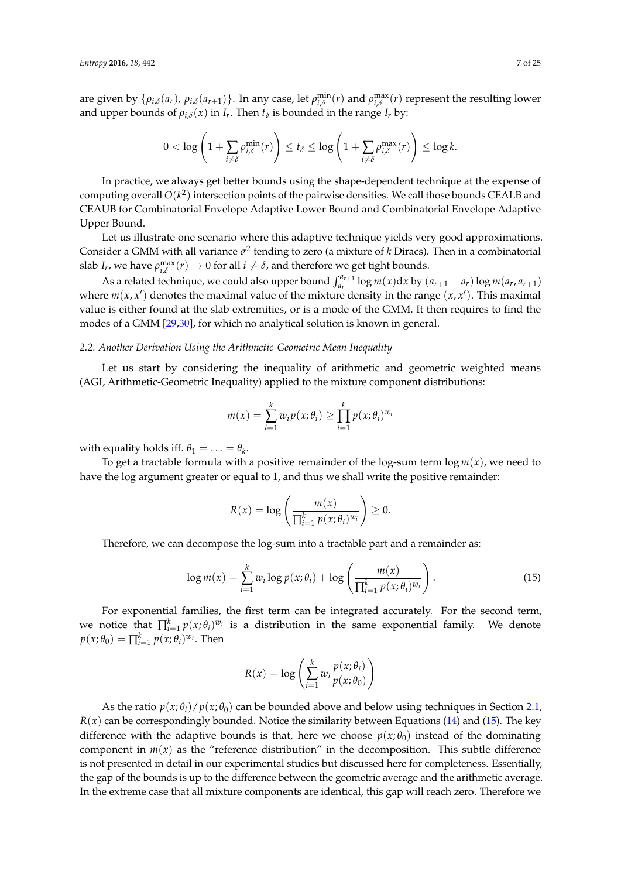are given by  $\{\rho_{i,\delta}(a_r), \rho_{i,\delta}(a_{r+1})\}$ . In any case, let  $\rho_{i,\delta}^{\min}(r)$  and  $\rho_{i,\delta}^{\max}(r)$  represent the resulting lower and upper bounds of  $\rho_{i,\delta}(x)$  in  $I_r$ . Then  $t_{\delta}$  is bounded in the range  $I_r$  by:

$$
0 < \log \left( 1 + \sum_{i \neq \delta} \rho_{i,\delta}^{\min}(r) \right) \leq t_{\delta} \leq \log \left( 1 + \sum_{i \neq \delta} \rho_{i,\delta}^{\max}(r) \right) \leq \log k.
$$

In practice, we always get better bounds using the shape-dependent technique at the expense of computing overall  $O(k^2)$  intersection points of the pairwise densities. We call those bounds CEALB and CEAUB for Combinatorial Envelope Adaptive Lower Bound and Combinatorial Envelope Adaptive Upper Bound.

Let us illustrate one scenario where this adaptive technique yields very good approximations. Consider a GMM with all variance  $\sigma^2$  tending to zero (a mixture of *k* Diracs). Then in a combinatorial slab *I<sub>r</sub>*, we have  $\rho_{i,\delta}^{\max}(r) \to 0$  for all  $i \neq \delta$ , and therefore we get tight bounds.

As a related technique, we could also upper bound  $\int_{a_r}^{a_{r+1}} \log m(x) dx$  by  $(a_{r+1} - a_r) \log m(a_r, a_{r+1})$ where  $m(x, x')$  denotes the maximal value of the mixture density in the range  $(x, x')$ . This maximal value is either found at the slab extremities, or is a mode of the GMM. It then requires to find the modes of a GMM [\[29](#page-23-21)[,30\]](#page-24-0), for which no analytical solution is known in general.

# *2.2. Another Derivation Using the Arithmetic-Geometric Mean Inequality*

Let us start by considering the inequality of arithmetic and geometric weighted means (AGI, Arithmetic-Geometric Inequality) applied to the mixture component distributions:

$$
m(x) = \sum_{i=1}^{k} w_i p(x; \theta_i) \ge \prod_{i=1}^{k} p(x; \theta_i)^{w_i}
$$

with equality holds iff.  $\theta_1 = \ldots = \theta_k$ .

To get a tractable formula with a positive remainder of the log-sum term  $\log m(x)$ , we need to have the log argument greater or equal to 1, and thus we shall write the positive remainder:

$$
R(x) = \log \left( \frac{m(x)}{\prod_{i=1}^k p(x; \theta_i)^{w_i}} \right) \geq 0.
$$

Therefore, we can decompose the log-sum into a tractable part and a remainder as:

<span id="page-6-0"></span>
$$
\log m(x) = \sum_{i=1}^{k} w_i \log p(x; \theta_i) + \log \left( \frac{m(x)}{\prod_{i=1}^{k} p(x; \theta_i)^{w_i}} \right).
$$
 (15)

For exponential families, the first term can be integrated accurately. For the second term, we notice that  $\prod_{i=1}^{k} p(x; \theta_i)^{w_i}$  is a distribution in the same exponential family. We denote  $p(x; \theta_0) = \prod_{i=1}^k p(x; \theta_i)^{w_i}$ . Then

$$
R(x) = \log \left( \sum_{i=1}^{k} w_i \frac{p(x; \theta_i)}{p(x; \theta_0)} \right)
$$

As the ratio  $p(x; \theta_i)/p(x; \theta_0)$  can be bounded above and below using techniques in Section [2.1,](#page-5-1)  $R(x)$  can be correspondingly bounded. Notice the similarity between Equations [\(14\)](#page-5-2) and [\(15\)](#page-6-0). The key difference with the adaptive bounds is that, here we choose  $p(x; \theta_0)$  instead of the dominating component in  $m(x)$  as the "reference distribution" in the decomposition. This subtle difference is not presented in detail in our experimental studies but discussed here for completeness. Essentially, the gap of the bounds is up to the difference between the geometric average and the arithmetic average. In the extreme case that all mixture components are identical, this gap will reach zero. Therefore we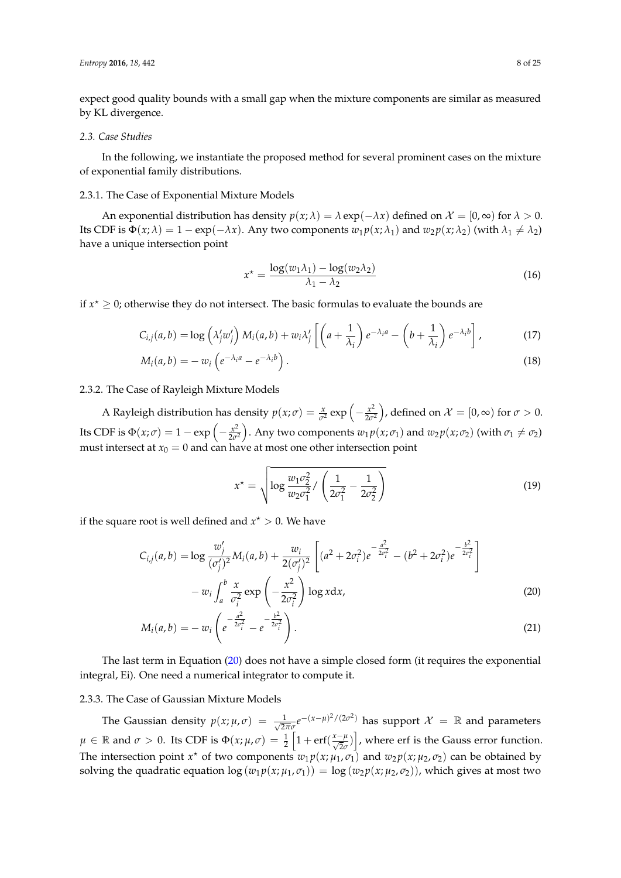expect good quality bounds with a small gap when the mixture components are similar as measured by KL divergence.

#### *2.3. Case Studies*

In the following, we instantiate the proposed method for several prominent cases on the mixture of exponential family distributions.

# 2.3.1. The Case of Exponential Mixture Models

An exponential distribution has density  $p(x; \lambda) = \lambda \exp(-\lambda x)$  defined on  $\mathcal{X} = [0, \infty)$  for  $\lambda > 0$ . Its CDF is  $\Phi(x; \lambda) = 1 - \exp(-\lambda x)$ . Any two components  $w_1 p(x; \lambda_1)$  and  $w_2 p(x; \lambda_2)$  (with  $\lambda_1 \neq \lambda_2$ ) have a unique intersection point

$$
x^* = \frac{\log(w_1 \lambda_1) - \log(w_2 \lambda_2)}{\lambda_1 - \lambda_2} \tag{16}
$$

if  $x^* \geq 0$ ; otherwise they do not intersect. The basic formulas to evaluate the bounds are

$$
C_{i,j}(a,b) = \log \left(\lambda'_j w'_j\right) M_i(a,b) + w_i \lambda'_j \left[ \left(a + \frac{1}{\lambda_i}\right) e^{-\lambda_i a} - \left(b + \frac{1}{\lambda_i}\right) e^{-\lambda_i b} \right],\tag{17}
$$

$$
M_i(a,b) = -w_i \left( e^{-\lambda_i a} - e^{-\lambda_i b} \right). \tag{18}
$$

# 2.3.2. The Case of Rayleigh Mixture Models

A Rayleigh distribution has density  $p(x;\sigma) = \frac{x}{\sigma^2} \exp\left(-\frac{x^2}{2\sigma^2}\right)$  $\left(\frac{x^2}{2\sigma^2}\right)$ , defined on  $\mathcal{X} = [0, \infty)$  for  $\sigma > 0$ . Its CDF is  $\Phi(x;\sigma) = 1 - \exp\left(-\frac{x^2}{2\sigma^2}\right)$  $\left(\frac{x^2}{2\sigma^2}\right)$ . Any two components  $w_1 p(x; \sigma_1)$  and  $w_2 p(x; \sigma_2)$  (with  $\sigma_1 \neq \sigma_2$ ) must intersect at  $x_0 = 0$  and can have at most one other intersection point

<span id="page-7-0"></span>
$$
x^* = \sqrt{\log \frac{w_1 \sigma_2^2}{w_2 \sigma_1^2} / \left(\frac{1}{2\sigma_1^2} - \frac{1}{2\sigma_2^2}\right)}
$$
(19)

if the square root is well defined and  $x^* > 0$ . We have

$$
C_{i,j}(a,b) = \log \frac{w'_j}{(\sigma'_j)^2} M_i(a,b) + \frac{w_i}{2(\sigma'_j)^2} \left[ (a^2 + 2\sigma_i^2) e^{-\frac{a^2}{2\sigma_i^2}} - (b^2 + 2\sigma_i^2) e^{-\frac{b^2}{2\sigma_i^2}} \right] - w_i \int_a^b \frac{x}{\sigma_i^2} \exp \left( -\frac{x^2}{2\sigma_i^2} \right) \log x dx,
$$
\n(20)

$$
M_i(a,b) = -w_i \left( e^{-\frac{a^2}{2\sigma_i^2}} - e^{-\frac{b^2}{2\sigma_i^2}} \right).
$$
 (21)

The last term in Equation [\(20\)](#page-7-0) does not have a simple closed form (it requires the exponential integral, Ei). One need a numerical integrator to compute it.

# 2.3.3. The Case of Gaussian Mixture Models

The Gaussian density  $p(x; \mu, \sigma) = \frac{1}{\sqrt{2\pi}}$  $\frac{1}{2\pi\sigma}e^{-(x-\mu)^2/(2\sigma^2)}$  has support  $\mathcal{X} = \mathbb{R}$  and parameters  $\mu \in \mathbb{R}$  and  $\sigma > 0$ . Its CDF is  $\Phi(x; \mu, \sigma) = \frac{1}{2} \left[ 1 + \text{erf}(\frac{x-\mu}{\sqrt{2}\sigma}) \right]$ , where erf is the Gauss error function. The intersection point  $x^*$  of two components  $w_1 p(x; \mu_1, \sigma_1)$  and  $w_2 p(x; \mu_2, \sigma_2)$  can be obtained by solving the quadratic equation  $\log (w_1 p(x; \mu_1, \sigma_1)) = \log (w_2 p(x; \mu_2, \sigma_2))$ , which gives at most two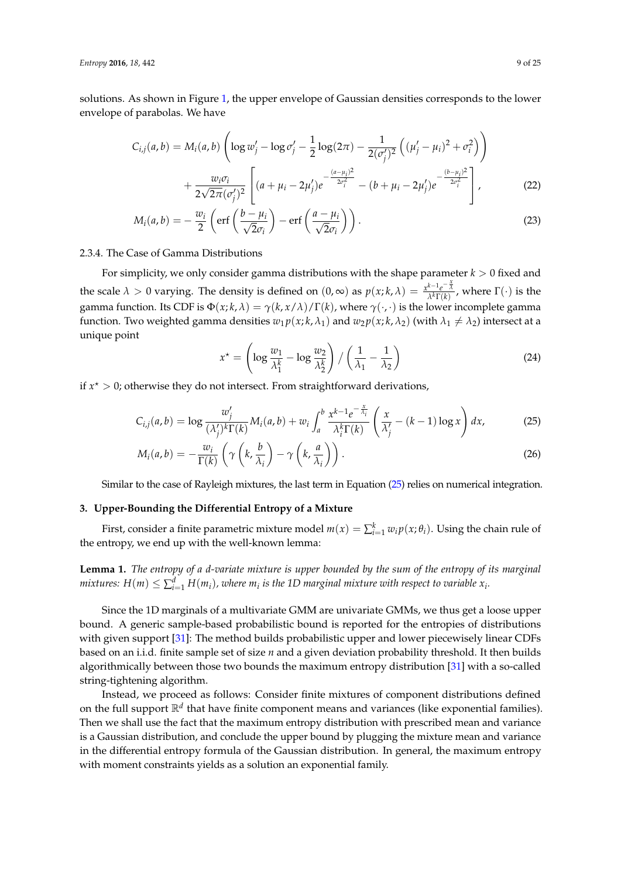solutions. As shown in Figure [1,](#page-4-0) the upper envelope of Gaussian densities corresponds to the lower envelope of parabolas. We have

$$
C_{i,j}(a,b) = M_i(a,b) \left( \log w_j' - \log \sigma_j' - \frac{1}{2} \log(2\pi) - \frac{1}{2(\sigma_j')^2} \left( (\mu_j' - \mu_i)^2 + \sigma_i^2 \right) \right) + \frac{w_i \sigma_i}{2\sqrt{2\pi} (\sigma_j')^2} \left[ (a + \mu_i - 2\mu_j') e^{-\frac{(a - \mu_i)^2}{2\sigma_i^2}} - (b + \mu_i - 2\mu_j') e^{-\frac{(b - \mu_i)^2}{2\sigma_i^2}} \right],
$$
(22)

$$
M_i(a,b) = -\frac{w_i}{2} \left( \text{erf}\left(\frac{b-\mu_i}{\sqrt{2}\sigma_i}\right) - \text{erf}\left(\frac{a-\mu_i}{\sqrt{2}\sigma_i}\right) \right). \tag{23}
$$

#### 2.3.4. The Case of Gamma Distributions

For simplicity, we only consider gamma distributions with the shape parameter  $k > 0$  fixed and the scale  $\lambda > 0$  varying. The density is defined on  $(0, \infty)$  as  $p(x; k, \lambda) = \frac{x^{k-1}e^{-\frac{x}{\lambda}}}{\lambda^k \Gamma(k)}$ , where  $\Gamma(\cdot)$  is the gamma function. Its CDF is  $\Phi(x; k, \lambda) = \gamma(k, x/\lambda)/\Gamma(k)$ , where  $\gamma(\cdot, \cdot)$  is the lower incomplete gamma function. Two weighted gamma densities  $w_1 p(x; k, \lambda_1)$  and  $w_2 p(x; k, \lambda_2)$  (with  $\lambda_1 \neq \lambda_2$ ) intersect at a unique point

<span id="page-8-1"></span>
$$
x^* = \left(\log \frac{w_1}{\lambda_1^k} - \log \frac{w_2}{\lambda_2^k}\right) / \left(\frac{1}{\lambda_1} - \frac{1}{\lambda_2}\right)
$$
 (24)

if  $x^* > 0$ ; otherwise they do not intersect. From straightforward derivations,

$$
C_{i,j}(a,b) = \log \frac{w'_j}{(\lambda'_j)^k \Gamma(k)} M_i(a,b) + w_i \int_a^b \frac{x^{k-1} e^{-\frac{x}{\lambda_i}}}{\lambda_i^k \Gamma(k)} \left(\frac{x}{\lambda'_j} - (k-1) \log x\right) dx,
$$
 (25)

$$
M_i(a,b) = -\frac{w_i}{\Gamma(k)} \left( \gamma\left(k, \frac{b}{\lambda_i}\right) - \gamma\left(k, \frac{a}{\lambda_i}\right) \right).
$$
 (26)

Similar to the case of Rayleigh mixtures, the last term in Equation [\(25\)](#page-8-1) relies on numerical integration.

#### <span id="page-8-0"></span>**3. Upper-Bounding the Differential Entropy of a Mixture**

First, consider a finite parametric mixture model  $m(x) = \sum_{i=1}^{k} w_i p(x; \theta_i)$ . Using the chain rule of the entropy, we end up with the well-known lemma:

**Lemma 1.** *The entropy of a d-variate mixture is upper bounded by the sum of the entropy of its marginal*  $m$ ixtures:  $H(m) \leq \sum_{i=1}^d H(m_i)$ , where  $m_i$  is the 1D marginal mixture with respect to variable  $x_i$ .

Since the 1D marginals of a multivariate GMM are univariate GMMs, we thus get a loose upper bound. A generic sample-based probabilistic bound is reported for the entropies of distributions with given support [\[31\]](#page-24-1): The method builds probabilistic upper and lower piecewisely linear CDFs based on an i.i.d. finite sample set of size *n* and a given deviation probability threshold. It then builds algorithmically between those two bounds the maximum entropy distribution [\[31\]](#page-24-1) with a so-called string-tightening algorithm.

Instead, we proceed as follows: Consider finite mixtures of component distributions defined on the full support  $\mathbb{R}^d$  that have finite component means and variances (like exponential families). Then we shall use the fact that the maximum entropy distribution with prescribed mean and variance is a Gaussian distribution, and conclude the upper bound by plugging the mixture mean and variance in the differential entropy formula of the Gaussian distribution. In general, the maximum entropy with moment constraints yields as a solution an exponential family.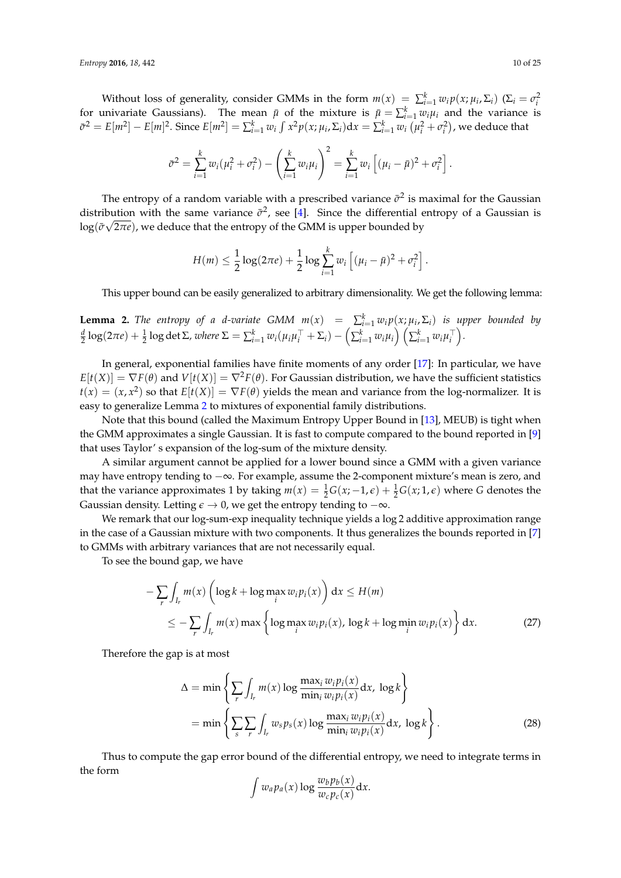Without loss of generality, consider GMMs in the form  $m(x) = \sum_{i=1}^{k} w_i p(x; \mu_i, \Sigma_i)$  ( $\Sigma_i = \sigma_i^2$  for univariate Gaussians). The mean  $\bar{\mu}$  of the mixture is  $\bar{\mu} = \sum_{i=1}^{k} w_i \mu_i$  and the variance is  $\bar{\sigma}^2 = E[m^2] - E[m]^2$ . Since  $E[m^2] = \sum_{i=1}^k w_i \int x^2 p(x; \mu_i, \Sigma_i) dx = \sum_{i=1}^k w_i (\mu_i^2 + \sigma_i^2)$ , we deduce that

$$
\bar{\sigma}^2 = \sum_{i=1}^k w_i (\mu_i^2 + \sigma_i^2) - \left(\sum_{i=1}^k w_i \mu_i\right)^2 = \sum_{i=1}^k w_i \left[ (\mu_i - \bar{\mu})^2 + \sigma_i^2 \right].
$$

The entropy of a random variable with a prescribed variance  $\bar{\sigma}^2$  is maximal for the Gaussian distribution with the same variance  $\bar{\sigma}^2$ , see [\[4\]](#page-22-3). Since the differential entropy of a Gaussian is  $\log(\bar{\sigma}\sqrt{2\pi e})$ , we deduce that the entropy of the GMM is upper bounded by

$$
H(m) \leq \frac{1}{2}\log(2\pi e) + \frac{1}{2}\log \sum_{i=1}^{k} w_i \left[ (\mu_i - \bar{\mu})^2 + \sigma_i^2 \right].
$$

This upper bound can be easily generalized to arbitrary dimensionality. We get the following lemma:

<span id="page-9-0"></span>**Lemma 2.** *The entropy of a d-variate GMM*  $m(x) = \sum_{i=1}^{k} w_i p(x; \mu_i, \Sigma_i)$  *is upper bounded by*  $\frac{d}{2}\log(2\pi e)+\frac{1}{2}\log\det\Sigma$ , where  $\Sigma=\sum_{i=1}^k w_i(\mu_i\mu_i^\top+\Sigma_i)-\left(\sum_{i=1}^k w_i\mu_i\right)\left(\sum_{i=1}^k w_i\mu_i^\top\right)$ .

In general, exponential families have finite moments of any order [\[17\]](#page-23-9): In particular, we have  $E[t(X)] = \nabla F(\theta)$  and  $V[t(X)] = \nabla^2 F(\theta)$ . For Gaussian distribution, we have the sufficient statistics  $t(x) = (x, x^2)$  so that  $E[t(X)] = \nabla F(\theta)$  yields the mean and variance from the log-normalizer. It is easy to generalize Lemma [2](#page-9-0) to mixtures of exponential family distributions.

Note that this bound (called the Maximum Entropy Upper Bound in [\[13\]](#page-23-5), MEUB) is tight when the GMM approximates a single Gaussian. It is fast to compute compared to the bound reported in [\[9\]](#page-23-3) that uses Taylor' s expansion of the log-sum of the mixture density.

A similar argument cannot be applied for a lower bound since a GMM with a given variance may have entropy tending to −∞. For example, assume the 2-component mixture's mean is zero, and that the variance approximates 1 by taking  $m(x) = \frac{1}{2}G(x; -1, \epsilon) + \frac{1}{2}G(x; 1, \epsilon)$  where *G* denotes the Gaussian density. Letting  $\epsilon \to 0$ , we get the entropy tending to  $-\infty$ .

We remark that our log-sum-exp inequality technique yields a log 2 additive approximation range in the case of a Gaussian mixture with two components. It thus generalizes the bounds reported in [\[7\]](#page-23-1) to GMMs with arbitrary variances that are not necessarily equal.

To see the bound gap, we have

$$
-\sum_{r} \int_{I_r} m(x) \left( \log k + \log \max_{i} w_i p_i(x) \right) dx \le H(m)
$$
  

$$
\le -\sum_{r} \int_{I_r} m(x) \max \left\{ \log \max_{i} w_i p_i(x), \log k + \log \min_{i} w_i p_i(x) \right\} dx.
$$
 (27)

Therefore the gap is at most

$$
\Delta = \min \left\{ \sum_{r} \int_{I_r} m(x) \log \frac{\max_i w_i p_i(x)}{\min_i w_i p_i(x)} dx, \log k \right\}
$$
  
= 
$$
\min \left\{ \sum_{s} \sum_{r} \int_{I_r} w_s p_s(x) \log \frac{\max_i w_i p_i(x)}{\min_i w_i p_i(x)} dx, \log k \right\}.
$$
 (28)

Thus to compute the gap error bound of the differential entropy, we need to integrate terms in the form

$$
\int w_a p_a(x) \log \frac{w_b p_b(x)}{w_c p_c(x)} dx.
$$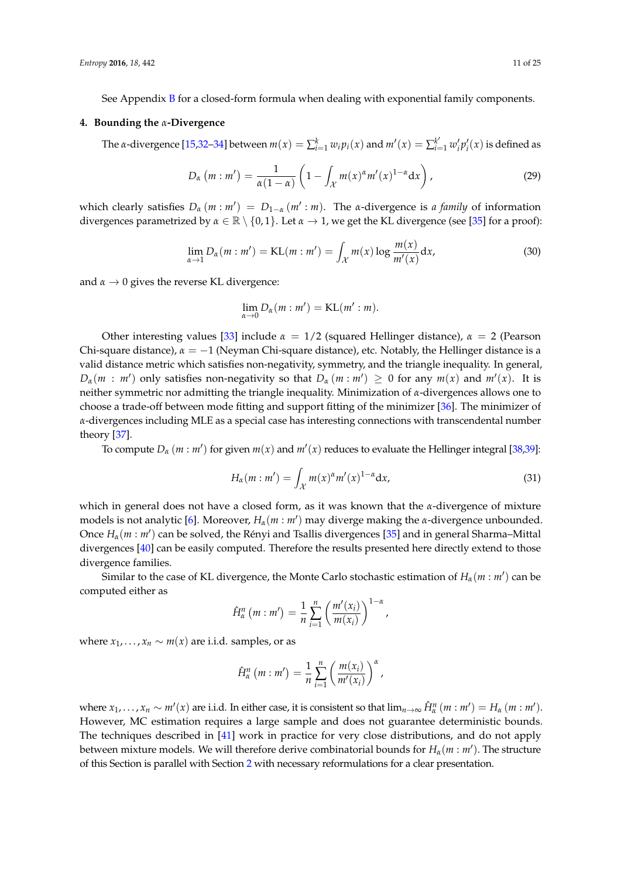See Appendix [B](#page-21-1) for a closed-form formula when dealing with exponential family components.

#### <span id="page-10-0"></span>**4. Bounding the** *α***-Divergence**

The *a*-divergence [\[15](#page-23-7)[,32–](#page-24-2)[34\]](#page-24-3) between  $m(x) = \sum_{i=1}^{k} w_i p_i(x)$  and  $m'(x) = \sum_{i=1}^{k'} w'_i p'_i(x)$  is defined as

$$
D_{\alpha}(m:m') = \frac{1}{\alpha(1-\alpha)} \left(1 - \int_{\mathcal{X}} m(x)^{\alpha} m'(x)^{1-\alpha} dx\right),\tag{29}
$$

which clearly satisfies  $D_\alpha(m : m') = D_{1-\alpha}(m' : m)$ . The *α*-divergence is *a family* of information divergences parametrized by  $\alpha \in \mathbb{R} \setminus \{0,1\}$ . Let  $\alpha \to 1$ , we get the KL divergence (see [\[35\]](#page-24-4) for a proof):

<span id="page-10-2"></span>
$$
\lim_{\alpha \to 1} D_{\alpha}(m : m') = \text{KL}(m : m') = \int_{\mathcal{X}} m(x) \log \frac{m(x)}{m'(x)} dx,
$$
\n(30)

and  $\alpha \rightarrow 0$  gives the reverse KL divergence:

$$
\lim_{\alpha \to 0} D_{\alpha}(m : m') = \mathrm{KL}(m' : m).
$$

Other interesting values [\[33\]](#page-24-5) include  $\alpha = 1/2$  (squared Hellinger distance),  $\alpha = 2$  (Pearson Chi-square distance), *α* = −1 (Neyman Chi-square distance), etc. Notably, the Hellinger distance is a valid distance metric which satisfies non-negativity, symmetry, and the triangle inequality. In general,  $D_{\alpha}(m : m')$  only satisfies non-negativity so that  $D_{\alpha}(m : m') \geq 0$  for any  $m(x)$  and  $m'(x)$ . It is neither symmetric nor admitting the triangle inequality. Minimization of *α*-divergences allows one to choose a trade-off between mode fitting and support fitting of the minimizer [\[36\]](#page-24-6). The minimizer of *α*-divergences including MLE as a special case has interesting connections with transcendental number theory [\[37\]](#page-24-7).

To compute  $D_{\alpha}(m : m')$  for given  $m(x)$  and  $m'(x)$  reduces to evaluate the Hellinger integral [\[38](#page-24-8)[,39\]](#page-24-9):

<span id="page-10-1"></span>
$$
H_{\alpha}(m:m') = \int_{\mathcal{X}} m(x)^{\alpha} m'(x)^{1-\alpha} dx,
$$
\n(31)

which in general does not have a closed form, as it was known that the *α*-divergence of mixture models is not analytic [\[6\]](#page-23-0). Moreover, *Hα*(*m* : *m*<sup>0</sup> ) may diverge making the *α*-divergence unbounded. Once *Hα*(*m* : *m*<sup>0</sup> ) can be solved, the Rényi and Tsallis divergences [\[35\]](#page-24-4) and in general Sharma–Mittal divergences [\[40\]](#page-24-10) can be easily computed. Therefore the results presented here directly extend to those divergence families.

Similar to the case of KL divergence, the Monte Carlo stochastic estimation of  $H_\alpha(m:m')$  can be computed either as

$$
\hat{H}_{\alpha}^{n}(m:m')=\frac{1}{n}\sum_{i=1}^{n}\left(\frac{m'(x_i)}{m(x_i)}\right)^{1-\alpha},
$$

where  $x_1, \ldots, x_n \sim m(x)$  are i.i.d. samples, or as

$$
\hat{H}_{\alpha}^{n}(m:m')=\frac{1}{n}\sum_{i=1}^{n}\left(\frac{m(x_{i})}{m'(x_{i})}\right)^{\alpha},
$$

where  $x_1,\ldots,x_n\sim m'(x)$  are i.i.d. In either case, it is consistent so that  $\lim_{n\to\infty} \hat{H}_\alpha^n(m:m')=H_\alpha(m:m').$ However, MC estimation requires a large sample and does not guarantee deterministic bounds. The techniques described in [\[41\]](#page-24-11) work in practice for very close distributions, and do not apply between mixture models. We will therefore derive combinatorial bounds for  $H_\alpha(m:m')$ . The structure of this Section is parallel with Section [2](#page-2-0) with necessary reformulations for a clear presentation.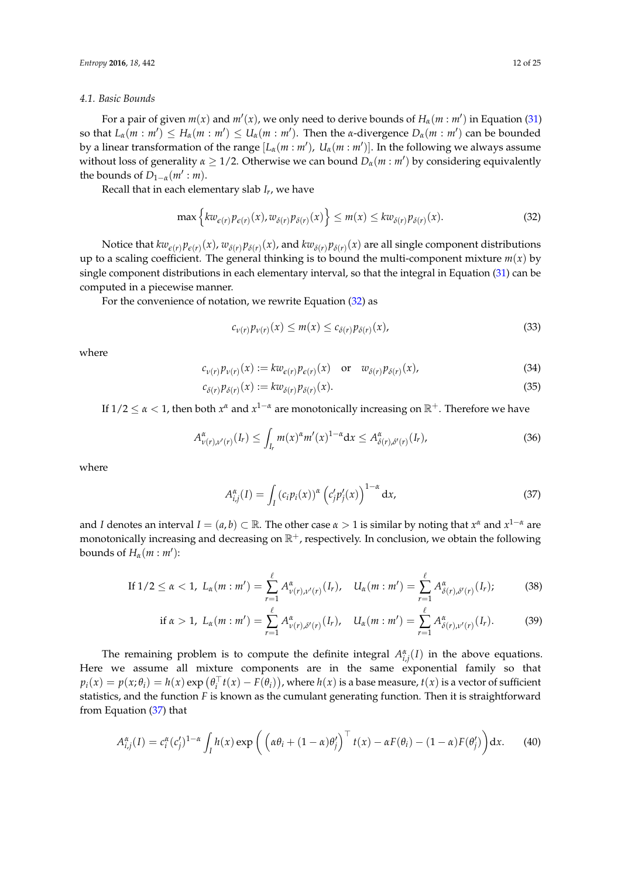#### <span id="page-11-2"></span>*4.1. Basic Bounds*

For a pair of given  $m(x)$  and  $m'(x)$ , we only need to derive bounds of  $H_\alpha(m:m')$  in Equation [\(31\)](#page-10-1) so that  $L_\alpha(m : m') \leq H_\alpha(m : m') \leq U_\alpha(m : m')$ . Then the *α*-divergence  $D_\alpha(m : m')$  can be bounded by a linear transformation of the range  $[L_\alpha(m:m'),\; U_\alpha(m:m')]$ . In the following we always assume without loss of generality  $\alpha \geq 1/2$ . Otherwise we can bound  $D_{\alpha}(m : m')$  by considering equivalently the bounds of  $D_{1-\alpha}(m': m)$ .

Recall that in each elementary slab *I<sup>r</sup>* , we have

$$
\max\left\{kw_{\varepsilon(r)}p_{\varepsilon(r)}(x),w_{\delta(r)}p_{\delta(r)}(x)\right\}\leq m(x)\leq kw_{\delta(r)}p_{\delta(r)}(x). \tag{32}
$$

Notice that  $kw_{\epsilon(r)}p_{\epsilon(r)}(x)$ ,  $w_{\delta(r)}p_{\delta(r)}(x)$ , and  $kw_{\delta(r)}p_{\delta(r)}(x)$  are all single component distributions up to a scaling coefficient. The general thinking is to bound the multi-component mixture  $m(x)$  by single component distributions in each elementary interval, so that the integral in Equation [\(31\)](#page-10-1) can be computed in a piecewise manner.

For the convenience of notation, we rewrite Equation [\(32\)](#page-11-0) as

<span id="page-11-4"></span><span id="page-11-3"></span><span id="page-11-0"></span>
$$
c_{\nu(r)}p_{\nu(r)}(x) \le m(x) \le c_{\delta(r)}p_{\delta(r)}(x), \tag{33}
$$

where

$$
c_{\nu(r)}p_{\nu(r)}(x) := k w_{\epsilon(r)}p_{\epsilon(r)}(x) \quad \text{or} \quad w_{\delta(r)}p_{\delta(r)}(x), \tag{34}
$$

$$
c_{\delta(r)}p_{\delta(r)}(x) := k w_{\delta(r)}p_{\delta(r)}(x). \tag{35}
$$

If  $1/2 \le \alpha < 1$ , then both  $x^{\alpha}$  and  $x^{1-\alpha}$  are monotonically increasing on  $\mathbb{R}^+$ . Therefore we have

$$
A^{\alpha}_{\nu(r),\nu'(r)}(I_r) \leq \int_{I_r} m(x)^{\alpha} m'(x)^{1-\alpha} dx \leq A^{\alpha}_{\delta(r),\delta'(r)}(I_r), \qquad (36)
$$

where

<span id="page-11-6"></span><span id="page-11-5"></span><span id="page-11-1"></span>
$$
A_{i,j}^{\alpha}(I) = \int_{I} \left( c_{i} p_{i}(x) \right)^{\alpha} \left( c_{j}^{\prime} p_{j}^{\prime}(x) \right)^{1-\alpha} dx, \tag{37}
$$

and *I* denotes an interval  $I = (a, b) \subset \mathbb{R}$ . The other case  $\alpha > 1$  is similar by noting that  $x^{\alpha}$  and  $x^{1-\alpha}$  are monotonically increasing and decreasing on  $\mathbb{R}^+$ , respectively. In conclusion, we obtain the following bounds of  $H_\alpha(m : m')$ :

If 
$$
1/2 \le \alpha < 1
$$
,  $L_{\alpha}(m : m') = \sum_{r=1}^{\ell} A^{\alpha}_{\nu(r),\nu'(r)}(I_r)$ ,  $U_{\alpha}(m : m') = \sum_{r=1}^{\ell} A^{\alpha}_{\delta(r),\delta'(r)}(I_r)$ ; (38)

$$
\text{if } \alpha > 1, \ L_{\alpha}(m:m') = \sum_{r=1}^{\ell} A^{\alpha}_{\nu(r),\delta'(r)}(I_r), \quad U_{\alpha}(m:m') = \sum_{r=1}^{\ell} A^{\alpha}_{\delta(r),\nu'(r)}(I_r). \tag{39}
$$

The remaining problem is to compute the definite integral  $A^{\alpha}_{i,j}(I)$  in the above equations. Here we assume all mixture components are in the same exponential family so that  $p_i(x) = p(x; \theta_i) = h(x) \exp(\theta_i^T t(x) - F(\theta_i))$ , where  $h(x)$  is a base measure,  $t(x)$  is a vector of sufficient statistics, and the function *F* is known as the cumulant generating function. Then it is straightforward from Equation [\(37\)](#page-11-1) that

$$
A_{i,j}^{\alpha}(I) = c_i^{\alpha}(c_j')^{1-\alpha} \int_I h(x) \exp\left(\left(\alpha \theta_i + (1-\alpha)\theta_j'\right)^{\top} t(x) - \alpha F(\theta_i) - (1-\alpha)F(\theta_j')\right) dx.
$$
 (40)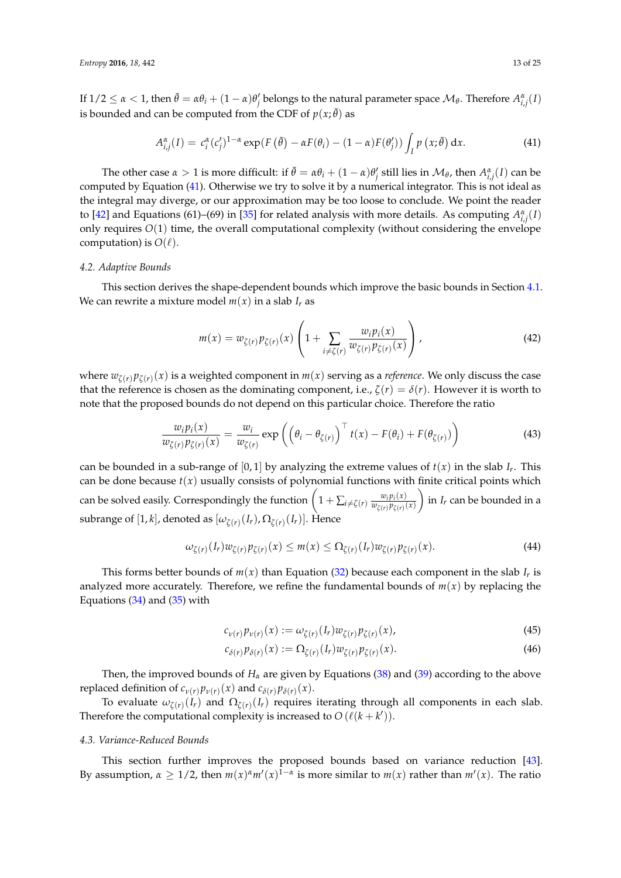If  $1/2 \leq \alpha < 1$ , then  $\bar{\theta} = \alpha \theta_i + (1-\alpha)\theta'_j$  belongs to the natural parameter space  $\mathcal{M}_{\theta}$ . Therefore  $A^{\alpha}_{i,j}(I)$ is bounded and can be computed from the CDF of  $p(x; \bar{\theta})$  as

<span id="page-12-0"></span>
$$
A_{i,j}^{\alpha}(I) = c_i^{\alpha}(c_j')^{1-\alpha} \exp(F(\bar{\theta}) - \alpha F(\theta_i) - (1-\alpha)F(\theta_j')) \int_I p(x;\bar{\theta}) dx.
$$
 (41)

The other case  $\alpha > 1$  is more difficult: if  $\bar{\theta} = \alpha \theta_i + (1 - \alpha) \theta'_j$  still lies in  $\mathcal{M}_{\theta}$ , then  $A^{\alpha}_{i,j}(I)$  can be computed by Equation [\(41\)](#page-12-0). Otherwise we try to solve it by a numerical integrator. This is not ideal as the integral may diverge, or our approximation may be too loose to conclude. We point the reader to [\[42\]](#page-24-12) and Equations (61)–(69) in [\[35\]](#page-24-4) for related analysis with more details. As computing  $A^{\alpha}_{i,j}(I)$ only requires *O*(1) time, the overall computational complexity (without considering the envelope computation) is  $O(\ell)$ .

# <span id="page-12-3"></span>*4.2. Adaptive Bounds*

This section derives the shape-dependent bounds which improve the basic bounds in Section [4.1.](#page-11-2) We can rewrite a mixture model  $m(x)$  in a slab  $I_r$  as

$$
m(x) = w_{\zeta(r)} p_{\zeta(r)}(x) \left( 1 + \sum_{i \neq \zeta(r)} \frac{w_i p_i(x)}{w_{\zeta(r)} p_{\zeta(r)}(x)} \right),
$$
\n(42)

where  $w_{\zeta(r)} p_{\zeta(r)}(x)$  is a weighted component in  $m(x)$  serving as a *reference*. We only discuss the case that the reference is chosen as the dominating component, i.e.,  $\zeta(r) = \delta(r)$ . However it is worth to note that the proposed bounds do not depend on this particular choice. Therefore the ratio

$$
\frac{w_i p_i(x)}{w_{\zeta(r)} p_{\zeta(r)}(x)} = \frac{w_i}{w_{\zeta(r)}} \exp\left(\left(\theta_i - \theta_{\zeta(r)}\right)^{\top} t(x) - F(\theta_i) + F(\theta_{\zeta(r)})\right)
$$
(43)

can be bounded in a sub-range of  $[0, 1]$  by analyzing the extreme values of  $t(x)$  in the slab  $I_r$ . This can be done because  $t(x)$  usually consists of polynomial functions with finite critical points which can be solved easily. Correspondingly the function  $\left(1+\sum_{i\neq \zeta(r)}\frac{w_ip_i(x)}{w_{\zeta(r)}p_{\zeta(r)}}\right)$  $w_{\zeta(r)} p_{\zeta(r)}(x)$  $\int$  in *I<sub>r</sub>* can be bounded in a subrange of  $[1,k]$ , denoted as  $[\omega_{\zeta(r)}(I_r), \Omega_{\zeta(r)}(I_r)].$  Hence

$$
\omega_{\zeta(r)}(I_r)w_{\zeta(r)}p_{\zeta(r)}(x) \le m(x) \le \Omega_{\zeta(r)}(I_r)w_{\zeta(r)}p_{\zeta(r)}(x). \tag{44}
$$

This forms better bounds of  $m(x)$  than Equation [\(32\)](#page-11-0) because each component in the slab  $I_r$  is analyzed more accurately. Therefore, we refine the fundamental bounds of  $m(x)$  by replacing the Equations  $(34)$  and  $(35)$  with

<span id="page-12-1"></span>
$$
c_{\nu(r)}p_{\nu(r)}(x) := \omega_{\zeta(r)}(I_r)w_{\zeta(r)}p_{\zeta(r)}(x), \qquad (45)
$$

<span id="page-12-2"></span>
$$
c_{\delta(r)}p_{\delta(r)}(x) := \Omega_{\zeta(r)}(I_r)w_{\zeta(r)}p_{\zeta(r)}(x). \tag{46}
$$

Then, the improved bounds of  $H_\alpha$  are given by Equations [\(38\)](#page-11-5) and [\(39\)](#page-11-6) according to the above replaced definition of  $c_{\nu(r)}p_{\nu(r)}(x)$  and  $c_{\delta(r)}p_{\delta(r)}(x)$ .

To evaluate  $\omega_{\zeta(r)}(I_r)$  and  $\Omega_{\zeta(r)}(I_r)$  requires iterating through all components in each slab. Therefore the computational complexity is increased to  $O(\ell(k + k'))$ .

#### <span id="page-12-4"></span>*4.3. Variance-Reduced Bounds*

This section further improves the proposed bounds based on variance reduction [\[43\]](#page-24-13). By assumption,  $\alpha \geq 1/2$ , then  $m(x)^{\alpha} m'(x)^{1-\alpha}$  is more similar to  $m(x)$  rather than  $m'(x)$ . The ratio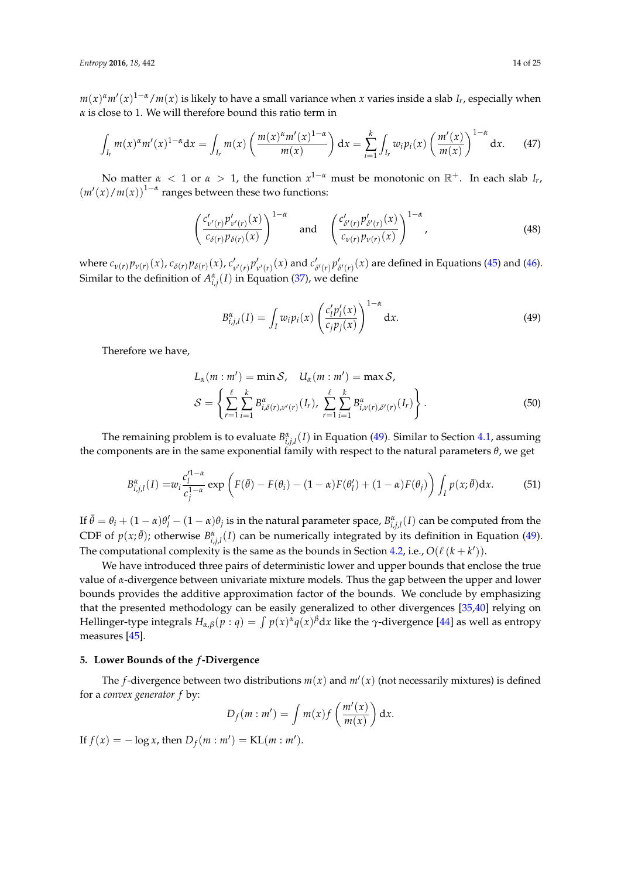$m(x)^{\alpha}m'(x)^{1-\alpha}/m(x)$  is likely to have a small variance when *x* varies inside a slab *I<sub>r</sub>*, especially when *α* is close to 1. We will therefore bound this ratio term in

$$
\int_{I_r} m(x)^{\alpha} m'(x)^{1-\alpha} dx = \int_{I_r} m(x) \left( \frac{m(x)^{\alpha} m'(x)^{1-\alpha}}{m(x)} \right) dx = \sum_{i=1}^k \int_{I_r} w_i p_i(x) \left( \frac{m'(x)}{m(x)} \right)^{1-\alpha} dx. \tag{47}
$$

No matter  $\alpha < 1$  or  $\alpha > 1$ , the function  $x^{1-\alpha}$  must be monotonic on  $\mathbb{R}^+$ . In each slab *I<sub>r</sub>*,  $(m'(x)/m(x))^{1-\alpha}$  ranges between these two functions:

<span id="page-13-2"></span>
$$
\left(\frac{c'_{\nu'(r)}p'_{\nu'(r)}(x)}{c_{\delta(r)}p_{\delta(r)}(x)}\right)^{1-\alpha} \quad \text{and} \quad \left(\frac{c'_{\delta'(r)}p'_{\delta'(r)}(x)}{c_{\nu(r)}p_{\nu(r)}(x)}\right)^{1-\alpha}, \tag{48}
$$

where  $c_{\nu(r)}p_{\nu(r)}(x)$ ,  $c_{\delta(r)}p_{\delta(r)}(x)$ ,  $c'_{\nu'(r)}p'_{\nu'(r)}(x)$  and  $c'_{\delta'(r)}p'_{\delta'(r)}(x)$  are defined in Equations [\(45\)](#page-12-1) and [\(46\)](#page-12-2). Similar to the definition of  $A^{\alpha}_{i,j}(I)$  in Equation [\(37\)](#page-11-1), we define

<span id="page-13-1"></span>
$$
B_{i,j,l}^{\alpha}(I) = \int_I w_i p_i(x) \left( \frac{c'_l p'_l(x)}{c_j p_j(x)} \right)^{1-\alpha} dx.
$$
 (49)

Therefore we have,

$$
L_{\alpha}(m : m') = \min \mathcal{S}, \quad U_{\alpha}(m : m') = \max \mathcal{S},
$$
  

$$
\mathcal{S} = \left\{ \sum_{r=1}^{\ell} \sum_{i=1}^{k} B_{i,\delta(r),\nu'(r)}^{\alpha}(I_r), \sum_{r=1}^{\ell} \sum_{i=1}^{k} B_{i,\nu(r),\delta'(r)}^{\alpha}(I_r) \right\}.
$$
 (50)

The remaining problem is to evaluate  $B^{\alpha}_{i,j,l}(I)$  in Equation [\(49\)](#page-13-1). Similar to Section [4.1,](#page-11-2) assuming the components are in the same exponential family with respect to the natural parameters *θ*, we get

$$
B_{i,j,l}^{\alpha}(I) = w_i \frac{c_l'^{1-\alpha}}{c_j^{1-\alpha}} \exp\left(F(\bar{\theta}) - F(\theta_i) - (1-\alpha)F(\theta_l') + (1-\alpha)F(\theta_j)\right) \int_I p(x;\bar{\theta}) dx.
$$
 (51)

If  $\bar{\theta} = \theta_i + (1 - \alpha)\theta'_l - (1 - \alpha)\theta_j$  is in the natural parameter space,  $B^{\alpha}_{i,j,l}(I)$  can be computed from the CDF of  $p(x; \bar{\theta})$ ; otherwise  $B^{\alpha}_{i,j,l}(I)$  can be numerically integrated by its definition in Equation [\(49\)](#page-13-1). The computational complexity is the same as the bounds in Section [4.2,](#page-12-3) i.e.,  $O(\ell \ (k + k'))$ .

We have introduced three pairs of deterministic lower and upper bounds that enclose the true value of *α*-divergence between univariate mixture models. Thus the gap between the upper and lower bounds provides the additive approximation factor of the bounds. We conclude by emphasizing that the presented methodology can be easily generalized to other divergences [\[35](#page-24-4)[,40\]](#page-24-10) relying on Hellinger-type integrals  $H_{\alpha,\beta}(p:q) = \int p(x)^{\alpha}q(x)^{\beta}dx$  like the  $\gamma$ -divergence [\[44\]](#page-24-14) as well as entropy measures [\[45\]](#page-24-15).

#### <span id="page-13-0"></span>**5. Lower Bounds of the** *f***-Divergence**

The *f*-divergence between two distributions  $m(x)$  and  $m'(x)$  (not necessarily mixtures) is defined for a *convex generator f* by:  $\lambda$ 

$$
D_f(m:m') = \int m(x)f\left(\frac{m'(x)}{m(x)}\right) dx.
$$

If  $f(x) = -\log x$ , then  $D_f(m : m') = \text{KL}(m : m')$ .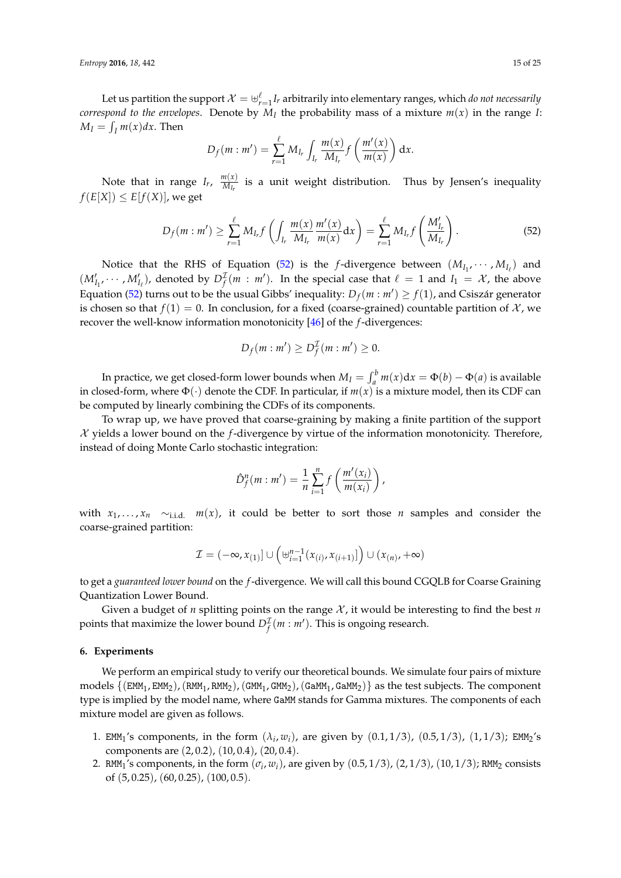Let us partition the support  $\mathcal{X}=\biguplus_{r=1}^\ell I_r$  arbitrarily into elementary ranges, which *do not necessarily correspond to the envelopes.* Denote by  $M_I$  the probability mass of a mixture  $m(x)$  in the range *I*:  $M_I = \int_I m(x) dx$ . Then

$$
D_f(m:m') = \sum_{r=1}^{\ell} M_{I_r} \int_{I_r} \frac{m(x)}{M_{I_r}} f\left(\frac{m'(x)}{m(x)}\right) dx.
$$

Note that in range  $I_r$ ,  $\frac{m(x)}{M_{l_r}}$  $\frac{m(x)}{M_{I_r}}$  is a unit weight distribution. Thus by Jensen's inequality  $f(E[X]) \leq E[f(X)]$ , we get

<span id="page-14-1"></span>
$$
D_f(m:m') \geq \sum_{r=1}^{\ell} M_{I_r} f\left(\int_{I_r} \frac{m(x)}{M_{I_r}} \frac{m'(x)}{m(x)} dx\right) = \sum_{r=1}^{\ell} M_{I_r} f\left(\frac{M'_{I_r}}{M_{I_r}}\right).
$$
 (52)

Notice that the RHS of Equation [\(52\)](#page-14-1) is the *f*-divergence between  $(M_{I_1}, \cdots, M_{I_\ell})$  and  $(M'_{I_1}, \cdots, M'_{I_\ell})$ , denoted by  $D^{\mathcal{I}}_f(m : m')$ . In the special case that  $\ell = 1$  and  $I_1 = \mathcal{X}$ , the above Equation [\(52\)](#page-14-1) turns out to be the usual Gibbs' inequality:  $D_f(m : m') \ge f(1)$ , and Csiszár generator is chosen so that  $f(1) = 0$ . In conclusion, for a fixed (coarse-grained) countable partition of  $\mathcal{X}$ , we recover the well-know information monotonicity [\[46\]](#page-24-16) of the *f*-divergences:

$$
D_f(m:m')\geq D_f^{\mathcal{I}}(m:m')\geq 0.
$$

In practice, we get closed-form lower bounds when  $M_I = \int_a^b m(x) dx = \Phi(b) - \Phi(a)$  is available in closed-form, where  $\Phi(\cdot)$  denote the CDF. In particular, if  $m(x)$  is a mixture model, then its CDF can be computed by linearly combining the CDFs of its components.

To wrap up, we have proved that coarse-graining by making a finite partition of the support X yields a lower bound on the *f*-divergence by virtue of the information monotonicity. Therefore, instead of doing Monte Carlo stochastic integration:

$$
\hat{D}_f^n(m:m') = \frac{1}{n} \sum_{i=1}^n f\left(\frac{m'(x_i)}{m(x_i)}\right),
$$

with  $x_1, \ldots, x_n \sim_{i.i.d.} m(x)$ , it could be better to sort those *n* samples and consider the coarse-grained partition:

$$
\mathcal{I} = (-\infty, x_{(1)}] \cup \left( \biguplus_{i=1}^{n-1} (x_{(i)}, x_{(i+1)}] \right) \cup (x_{(n)}, +\infty)
$$

to get a *guaranteed lower bound* on the *f*-divergence. We will call this bound CGQLB for Coarse Graining Quantization Lower Bound.

Given a budget of *n* splitting points on the range  $\mathcal{X}$ , it would be interesting to find the best *n* points that maximize the lower bound  $D_f^2(m : m')$ . This is ongoing research.

#### <span id="page-14-0"></span>**6. Experiments**

We perform an empirical study to verify our theoretical bounds. We simulate four pairs of mixture models  $\{(\text{EMM}_1, \text{EMM}_2), (\text{RMM}_1, \text{RMM}_2), (\text{GMM}_1, \text{GMM}_2), (\text{GAMM}_1, \text{GAMM}_2)\}\$ as the test subjects. The component type is implied by the model name, where GaMM stands for Gamma mixtures. The components of each mixture model are given as follows.

- 1. EMM<sub>1</sub>'s components, in the form  $(\lambda_i, w_i)$ , are given by  $(0.1, 1/3)$ ,  $(0.5, 1/3)$ ,  $(1, 1/3)$ ; EMM<sub>2</sub>'s components are (2, 0.2), (10, 0.4), (20, 0.4).
- 2. RMM<sub>1</sub>'s components, in the form  $(\sigma_i, w_i)$ , are given by  $(0.5, 1/3)$ ,  $(2, 1/3)$ ,  $(10, 1/3)$ ; RMM<sub>2</sub> consists of (5, 0.25), (60, 0.25), (100, 0.5).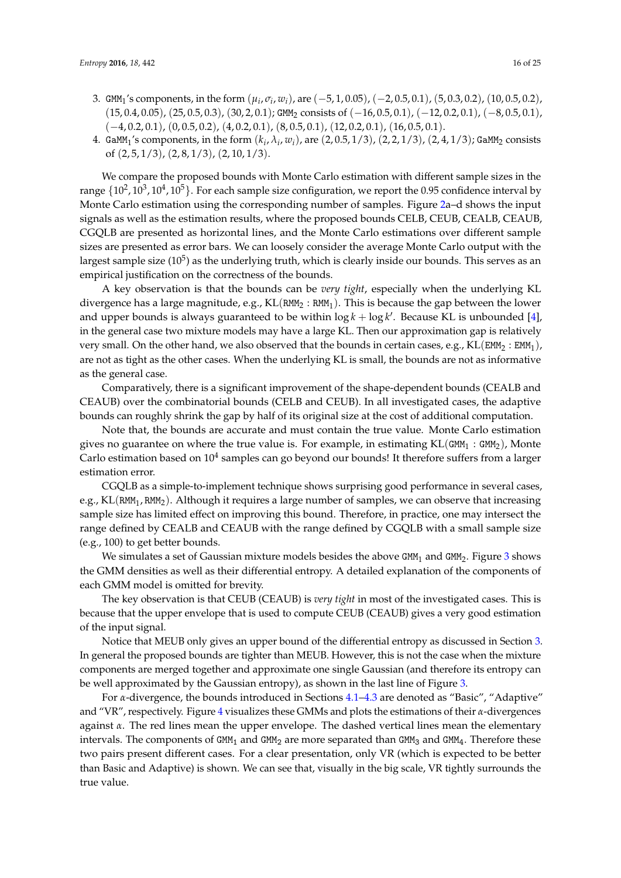- 3. GMM<sub>1</sub>'s components, in the form  $(\mu_i, \sigma_i, w_i)$ , are  $(-5, 1, 0.05)$ ,  $(-2, 0.5, 0.1)$ ,  $(5, 0.3, 0.2)$ ,  $(10, 0.5, 0.2)$ ,  $(15, 0.4, 0.05), (25, 0.5, 0.3), (30, 2, 0.1)$ ; GMM<sub>2</sub> consists of  $(-16, 0.5, 0.1), (-12, 0.2, 0.1), (-8, 0.5, 0.1)$  $(-4, 0.2, 0.1), (0, 0.5, 0.2), (4, 0.2, 0.1), (8, 0.5, 0.1), (12, 0.2, 0.1), (16, 0.5, 0.1).$
- 4. GaMM<sub>1</sub>'s components, in the form  $(k_i, \lambda_i, w_i)$ , are  $(2, 0.5, 1/3)$ ,  $(2, 2, 1/3)$ ,  $(2, 4, 1/3)$ ; GaMM<sub>2</sub> consists of (2, 5, 1/3), (2, 8, 1/3), (2, 10, 1/3).

We compare the proposed bounds with Monte Carlo estimation with different sample sizes in the range  $\{10^2, 10^3, 10^4, 10^5\}$ . For each sample size configuration, we report the 0.95 confidence interval by Monte Carlo estimation using the corresponding number of samples. Figure [2a](#page-17-0)–d shows the input signals as well as the estimation results, where the proposed bounds CELB, CEUB, CEALB, CEAUB, CGQLB are presented as horizontal lines, and the Monte Carlo estimations over different sample sizes are presented as error bars. We can loosely consider the average Monte Carlo output with the largest sample size (10 $^5$ ) as the underlying truth, which is clearly inside our bounds. This serves as an empirical justification on the correctness of the bounds.

A key observation is that the bounds can be *very tight*, especially when the underlying KL divergence has a large magnitude, e.g.,  $KL(RMM_2 : RMM_1)$ . This is because the gap between the lower and upper bounds is always guaranteed to be within  $\log k + \log k'$ . Because KL is unbounded [\[4\]](#page-22-3), in the general case two mixture models may have a large KL. Then our approximation gap is relatively very small. On the other hand, we also observed that the bounds in certain cases, e.g.,  $KL(\text{EMM}_2 : \text{EMM}_1)$ , are not as tight as the other cases. When the underlying KL is small, the bounds are not as informative as the general case.

Comparatively, there is a significant improvement of the shape-dependent bounds (CEALB and CEAUB) over the combinatorial bounds (CELB and CEUB). In all investigated cases, the adaptive bounds can roughly shrink the gap by half of its original size at the cost of additional computation.

Note that, the bounds are accurate and must contain the true value. Monte Carlo estimation gives no guarantee on where the true value is. For example, in estimating  $KL(GMM_1 : GMM_2)$ , Monte Carlo estimation based on  $10^4$  samples can go beyond our bounds! It therefore suffers from a larger estimation error.

CGQLB as a simple-to-implement technique shows surprising good performance in several cases, e.g.,  $KL(RMM_1, RMM_2)$ . Although it requires a large number of samples, we can observe that increasing sample size has limited effect on improving this bound. Therefore, in practice, one may intersect the range defined by CEALB and CEAUB with the range defined by CGQLB with a small sample size (e.g., 100) to get better bounds.

We simulates a set of Gaussian mixture models besides the above  $GMM_1$  and  $GMM_2$ . Figure [3](#page-18-0) shows the GMM densities as well as their differential entropy. A detailed explanation of the components of each GMM model is omitted for brevity.

The key observation is that CEUB (CEAUB) is *very tight* in most of the investigated cases. This is because that the upper envelope that is used to compute CEUB (CEAUB) gives a very good estimation of the input signal.

Notice that MEUB only gives an upper bound of the differential entropy as discussed in Section [3.](#page-8-0) In general the proposed bounds are tighter than MEUB. However, this is not the case when the mixture components are merged together and approximate one single Gaussian (and therefore its entropy can be well approximated by the Gaussian entropy), as shown in the last line of Figure [3.](#page-18-0)

For *α*-divergence, the bounds introduced in Sections [4.1](#page-11-2)[–4.3](#page-12-4) are denoted as "Basic", "Adaptive" and "VR", respectively. Figure [4](#page-18-1) visualizes these GMMs and plots the estimations of their *α*-divergences against *α*. The red lines mean the upper envelope. The dashed vertical lines mean the elementary intervals. The components of GMM<sub>1</sub> and GMM<sub>2</sub> are more separated than GMM<sub>3</sub> and GMM<sub>4</sub>. Therefore these two pairs present different cases. For a clear presentation, only VR (which is expected to be better than Basic and Adaptive) is shown. We can see that, visually in the big scale, VR tightly surrounds the true value.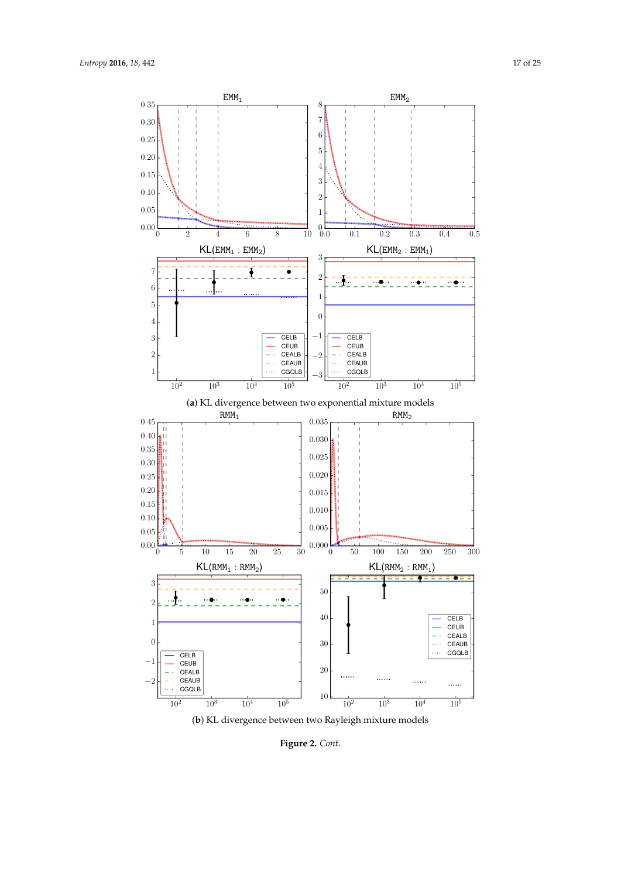

(**b**) KL divergence between two Rayleigh mixture models

**Figure 2.** *Cont*.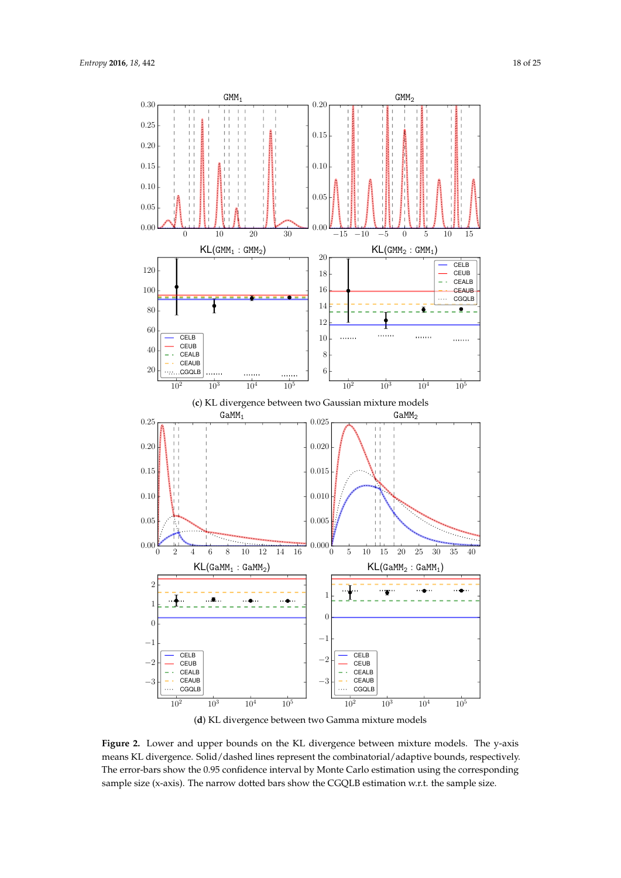<span id="page-17-0"></span>



**Figure 2.** Lower and upper bounds on the KL divergence between mixture models. The y-axis means KL divergence. Solid/dashed lines represent the combinatorial/adaptive bounds, respectively. The error-bars show the 0.95 confidence interval by Monte Carlo estimation using the corresponding sample size (x-axis). The narrow dotted bars show the CGQLB estimation w.r.t. the sample size.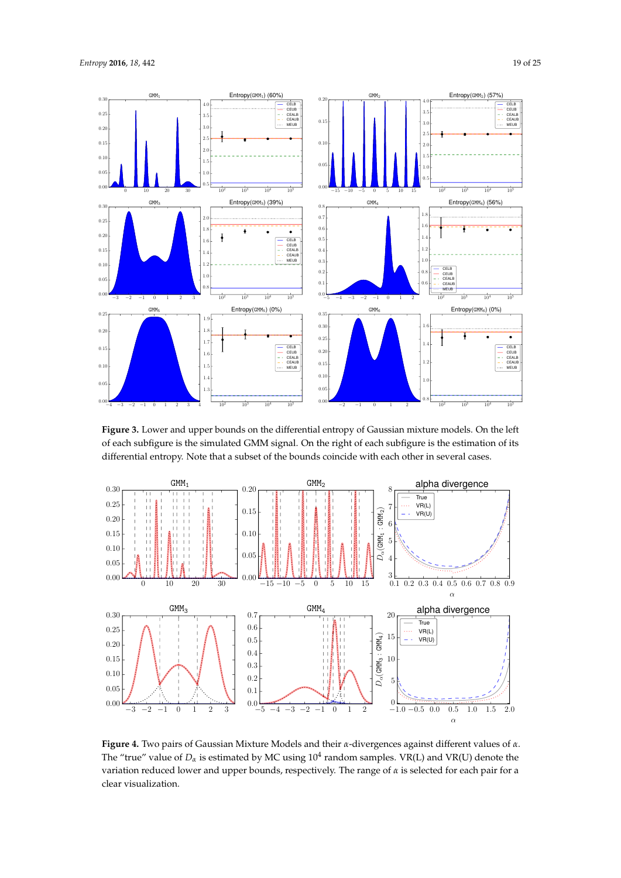

<span id="page-18-0"></span>

**Figure 3.** Lower and upper bounds on the differential entropy of Gaussian mixture models. On the left of each subfigure is the simulated GMM signal. On the right of each subfigure is the estimation of its differential entropy. Note that a subset of the bounds coincide with each other in several cases.

<span id="page-18-1"></span>

**Figure 4.** Two pairs of Gaussian Mixture Models and their *α*-divergences against different values of *α*. The "true" value of  $D_{\alpha}$  is estimated by MC using  $10^{4}$  random samples. VR(L) and VR(U) denote the variation reduced lower and upper bounds, respectively. The range of *α* is selected for each pair for a clear visualization.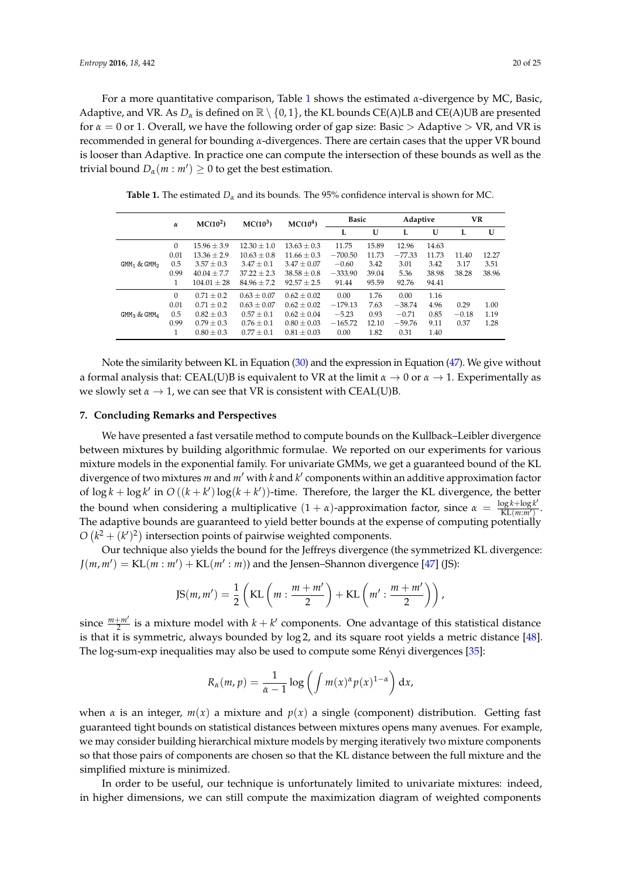For a more quantitative comparison, Table [1](#page-19-1) shows the estimated *α*-divergence by MC, Basic, Adaptive, and VR. As  $D_{\alpha}$  is defined on  $\mathbb{R} \setminus \{0,1\}$ , the KL bounds CE(A)LB and CE(A)UB are presented for  $\alpha = 0$  or 1. Overall, we have the following order of gap size: Basic > Adaptive > VR, and VR is recommended in general for bounding *α*-divergences. There are certain cases that the upper VR bound is looser than Adaptive. In practice one can compute the intersection of these bounds as well as the trivial bound  $D_{\alpha}(m : m') \geq 0$  to get the best estimation.

<span id="page-19-1"></span>

|                                     | $\alpha$     | MC(10 <sup>2</sup> ) | $MC(10^3)$      | MC(10 <sup>4</sup> ) | <b>Basic</b> |       | Adaptive |       | VR      |       |
|-------------------------------------|--------------|----------------------|-----------------|----------------------|--------------|-------|----------|-------|---------|-------|
|                                     |              |                      |                 |                      | L            | U     | L        | U     | L       | U     |
| GMM <sub>1</sub> & GMM <sub>2</sub> | $\mathbf{0}$ | $15.96 + 3.9$        | $12.30 \pm 1.0$ | $13.63 \pm 0.3$      | 11.75        | 15.89 | 12.96    | 14.63 |         |       |
|                                     | 0.01         | $13.36 + 2.9$        | $10.63 \pm 0.8$ | $11.66 \pm 0.3$      | $-700.50$    | 11.73 | $-77.33$ | 11.73 | 11.40   | 12.27 |
|                                     | 0.5          | $3.57 + 0.3$         | $3.47 + 0.1$    | $3.47 + 0.07$        | $-0.60$      | 3.42  | 3.01     | 3.42  | 3.17    | 3.51  |
|                                     | 0.99         | $40.04 + 7.7$        | $37.22 + 2.3$   | $38.58 + 0.8$        | $-333.90$    | 39.04 | 5.36     | 38.98 | 38.28   | 38.96 |
|                                     |              | $104.01 \pm 28$      | $84.96 \pm 7.2$ | $92.57 \pm 2.5$      | 91.44        | 95.59 | 92.76    | 94.41 |         |       |
| GMM <sub>3</sub> & GMM <sub>4</sub> | $\Omega$     | $0.71 + 0.2$         | $0.63 + 0.07$   | $0.62 + 0.02$        | 0.00         | 1.76  | 0.00     | 1.16  |         |       |
|                                     | 0.01         | $0.71 + 0.2$         | $0.63 + 0.07$   | $0.62 + 0.02$        | $-179.13$    | 7.63  | $-38.74$ | 4.96  | 0.29    | 1.00  |
|                                     | 0.5          | $0.82 \pm 0.3$       | $0.57 \pm 0.1$  | $0.62 + 0.04$        | $-5.23$      | 0.93  | $-0.71$  | 0.85  | $-0.18$ | 1.19  |
|                                     | 0.99         | $0.79 + 0.3$         | $0.76 \pm 0.1$  | $0.80 + 0.03$        | $-165.72$    | 12.10 | $-59.76$ | 9.11  | 0.37    | 1.28  |
|                                     |              | $0.80 \pm 0.3$       | $0.77 \pm 0.1$  | $0.81 \pm 0.03$      | 0.00         | 1.82  | 0.31     | 1.40  |         |       |

**Table 1.** The estimated  $D_\alpha$  and its bounds. The 95% confidence interval is shown for MC.

Note the similarity between KL in Equation [\(30\)](#page-10-2) and the expression in Equation [\(47\)](#page-13-2). We give without a formal analysis that: CEAL(U)B is equivalent to VR at the limit *α* → 0 or *α* → 1. Experimentally as we slowly set  $\alpha \to 1$ , we can see that VR is consistent with CEAL(U)B.

# <span id="page-19-0"></span>**7. Concluding Remarks and Perspectives**

We have presented a fast versatile method to compute bounds on the Kullback–Leibler divergence between mixtures by building algorithmic formulae. We reported on our experiments for various mixture models in the exponential family. For univariate GMMs, we get a guaranteed bound of the KL divergence of two mixtures *m* and *m'* with *k* and *k'* components within an additive approximation factor of  $\log k + \log k'$  in  $O((k + k') \log(k + k'))$ -time. Therefore, the larger the KL divergence, the better the bound when considering a multiplicative  $(1 + α)$ -approximation factor, since  $α = \frac{\log k + \log k'}{Kl(m'm')}$  $\frac{\log \kappa + \log \kappa}{KL(m:m')}$ . The adaptive bounds are guaranteed to yield better bounds at the expense of computing potentially  $O(k^2 + (k')^2)$  intersection points of pairwise weighted components.

Our technique also yields the bound for the Jeffreys divergence (the symmetrized KL divergence:  $J(m, m') = \text{KL}(m : m') + \text{KL}(m' : m)$ ) and the Jensen–Shannon divergence [\[47\]](#page-24-17) (JS):

$$
\text{JS}(m, m') = \frac{1}{2} \left( \text{KL}\left(m : \frac{m + m'}{2}\right) + \text{KL}\left(m' : \frac{m + m'}{2}\right) \right),
$$

since  $\frac{m+m'}{2}$  is a mixture model with  $k + k'$  components. One advantage of this statistical distance is that it is symmetric, always bounded by log 2, and its square root yields a metric distance [\[48\]](#page-24-18). The log-sum-exp inequalities may also be used to compute some Rényi divergences [\[35\]](#page-24-4):

$$
R_{\alpha}(m, p) = \frac{1}{\alpha - 1} \log \left( \int m(x)^{\alpha} p(x)^{1 - \alpha} \right) dx,
$$

when *α* is an integer,  $m(x)$  a mixture and  $p(x)$  a single (component) distribution. Getting fast guaranteed tight bounds on statistical distances between mixtures opens many avenues. For example, we may consider building hierarchical mixture models by merging iteratively two mixture components so that those pairs of components are chosen so that the KL distance between the full mixture and the simplified mixture is minimized.

In order to be useful, our technique is unfortunately limited to univariate mixtures: indeed, in higher dimensions, we can still compute the maximization diagram of weighted components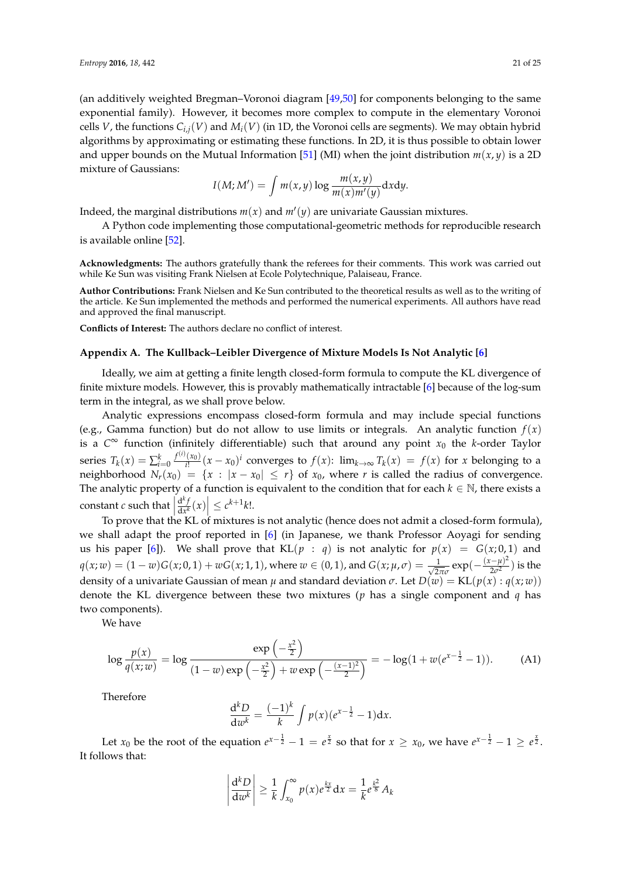(an additively weighted Bregman–Voronoi diagram [\[49,](#page-24-19)[50\]](#page-24-20) for components belonging to the same exponential family). However, it becomes more complex to compute in the elementary Voronoi cells *V*, the functions  $C_{i,j}(V)$  and  $M_i(V)$  (in 1D, the Voronoi cells are segments). We may obtain hybrid algorithms by approximating or estimating these functions. In 2D, it is thus possible to obtain lower and upper bounds on the Mutual Information [\[51\]](#page-24-21) (MI) when the joint distribution  $m(x, y)$  is a 2D mixture of Gaussians:

$$
I(M; M') = \int m(x, y) \log \frac{m(x, y)}{m(x) m'(y)} dxdy.
$$

Indeed, the marginal distributions  $m(x)$  and  $m'(y)$  are univariate Gaussian mixtures.

A Python code implementing those computational-geometric methods for reproducible research is available online [\[52\]](#page-24-22).

**Acknowledgments:** The authors gratefully thank the referees for their comments. This work was carried out while Ke Sun was visiting Frank Nielsen at Ecole Polytechnique, Palaiseau, France.

**Author Contributions:** Frank Nielsen and Ke Sun contributed to the theoretical results as well as to the writing of the article. Ke Sun implemented the methods and performed the numerical experiments. All authors have read and approved the final manuscript.

**Conflicts of Interest:** The authors declare no conflict of interest.

# <span id="page-20-0"></span>**Appendix A. The Kullback–Leibler Divergence of Mixture Models Is Not Analytic [\[6\]](#page-23-0)**

Ideally, we aim at getting a finite length closed-form formula to compute the KL divergence of finite mixture models. However, this is provably mathematically intractable [\[6\]](#page-23-0) because of the log-sum term in the integral, as we shall prove below.

Analytic expressions encompass closed-form formula and may include special functions (e.g., Gamma function) but do not allow to use limits or integrals. An analytic function  $f(x)$ is a  $C^{\infty}$  function (infinitely differentiable) such that around any point  $x_0$  the *k*-order Taylor series  $T_k(x) = \sum_{i=0}^k \frac{f^{(i)}(x_0)}{i!} (x - x_0)^i$  converges to  $f(x)$ :  $\lim_{k \to \infty} T_k(x) = f(x)$  for x belonging to a neighborhood  $N_r(x_0) = \{x : |x - x_0| \leq r\}$  of  $x_0$ , where *r* is called the radius of convergence. The analytic property of a function is equivalent to the condition that for each  $k \in \mathbb{N}$ , there exists a constant *c* such that  $\left| \frac{d^{k} f}{dx^{k}} \right|$  $\left|\frac{d^k f}{dx^k}(x)\right| \leq c^{k+1} k!$ .

To prove that the KL of mixtures is not analytic (hence does not admit a closed-form formula), we shall adapt the proof reported in [\[6\]](#page-23-0) (in Japanese, we thank Professor Aoyagi for sending us his paper [\[6\]](#page-23-0)). We shall prove that  $KL(p : q)$  is not analytic for  $p(x) = G(x; 0, 1)$  and  $q(x; w) = (1-w)G(x; 0, 1) + wG(x; 1, 1)$ , where  $w \in (0, 1)$ , and  $G(x; \mu, \sigma) = \frac{1}{\sqrt{2}}$  $\frac{1}{2\pi\sigma}$  exp( $-\frac{(x-\mu)^2}{2\sigma^2}$  $\frac{(-\mu)^2}{2\sigma^2}$ ) is the density of a univariate Gaussian of mean  $\mu$  and standard deviation  $\sigma$ . Let  $D(\psi) = KL(p(x) : q(x; \psi))$ denote the KL divergence between these two mixtures (*p* has a single component and *q* has two components).

We have

$$
\log \frac{p(x)}{q(x; w)} = \log \frac{\exp\left(-\frac{x^2}{2}\right)}{(1 - w)\exp\left(-\frac{x^2}{2}\right) + w\exp\left(-\frac{(x - 1)^2}{2}\right)} = -\log(1 + w(e^{x - \frac{1}{2}} - 1)).\tag{A1}
$$

Therefore

$$
\frac{\mathrm{d}^k D}{\mathrm{d}w^k} = \frac{(-1)^k}{k} \int p(x) (e^{x-\frac{1}{2}}-1) \mathrm{d}x.
$$

Let  $x_0$  be the root of the equation  $e^{x-\frac{1}{2}}-1 = e^{\frac{x}{2}}$  so that for  $x \ge x_0$ , we have  $e^{x-\frac{1}{2}}-1 \ge e^{\frac{x}{2}}$ . It follows that:

$$
\left|\frac{d^k D}{dw^k}\right| \geq \frac{1}{k} \int_{x_0}^{\infty} p(x) e^{\frac{kx}{2}} dx = \frac{1}{k} e^{\frac{k^2}{8}} A_k
$$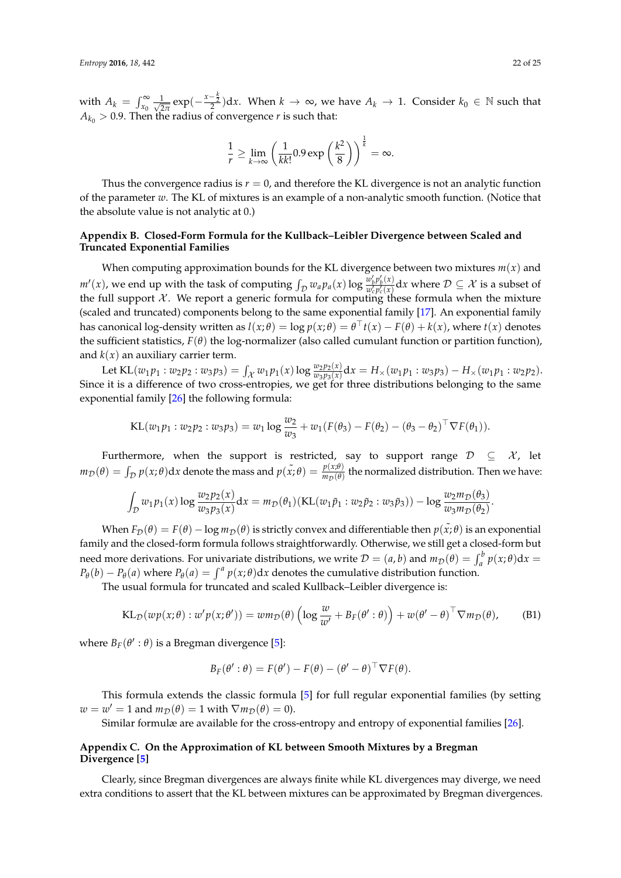with  $A_k = \int_{x_0}^{\infty} \frac{1}{\sqrt{2}}$  $\frac{1}{2\pi} \exp(-\frac{x-\frac{k}{2}}{2})dx$ . When  $k \to \infty$ , we have  $A_k \to 1$ . Consider  $k_0 \in \mathbb{N}$  such that  $A_{k_0}>0.9$ . Then the radius of convergence  $r$  is such that:

$$
\frac{1}{r} \ge \lim_{k \to \infty} \left( \frac{1}{kk!} 0.9 \exp\left(\frac{k^2}{8}\right) \right)^{\frac{1}{k}} = \infty.
$$

Thus the convergence radius is  $r = 0$ , and therefore the KL divergence is not an analytic function of the parameter *w*. The KL of mixtures is an example of a non-analytic smooth function. (Notice that the absolute value is not analytic at 0.)

# <span id="page-21-1"></span>**Appendix B. Closed-Form Formula for the Kullback–Leibler Divergence between Scaled and Truncated Exponential Families**

When computing approximation bounds for the KL divergence between two mixtures  $m(x)$  and  $m'(x)$ , we end up with the task of computing  $\int_{\mathcal{D}} w_a p_a(x) \log \frac{w'_b p'_b(x)}{w'_c p'_c(x)}$  $\frac{w_b p_b(x)}{w_c' p_c'(x)} dx$  where  $\mathcal{D} \subseteq \mathcal{X}$  is a subset of the full support  $\mathcal X$ . We report a generic formula for computing these formula when the mixture (scaled and truncated) components belong to the same exponential family [\[17\]](#page-23-9). An exponential family has canonical log-density written as  $l(x; \theta) = \log p(x; \theta) = \theta \cdot t(x) - F(\theta) + k(x)$ , where  $t(x)$  denotes the sufficient statistics,  $F(\theta)$  the log-normalizer (also called cumulant function or partition function), and  $k(x)$  an auxiliary carrier term.

Let  $KL(w_1p_1:w_2p_2:w_3p_3) = \int_{\mathcal{X}} w_1p_1(x) \log \frac{w_2p_2(x)}{w_3p_3(x)} dx = H_{\times}(w_1p_1:w_3p_3) - H_{\times}(w_1p_1:w_2p_2).$ Since it is a difference of two cross-entropies, we get for three distributions belonging to the same exponential family [\[26\]](#page-23-18) the following formula:

KL
$$
(w_1p_1 : w_2p_2 : w_3p_3) = w_1 \log \frac{w_2}{w_3} + w_1(F(\theta_3) - F(\theta_2) - (\theta_3 - \theta_2)^T \nabla F(\theta_1)).
$$

Furthermore, when the support is restricted, say to support range  $\mathcal{D} \subseteq \mathcal{X}$ , let  $m_{\mathcal{D}}(\theta) = \int_{\mathcal{D}} p(x;\theta) dx$  denote the mass and  $p(\tilde{x};\theta) = \frac{p(x;\theta)}{m_{\mathcal{D}}(\theta)}$  the normalized distribution. Then we have:

$$
\int_{\mathcal{D}} w_1 p_1(x) \log \frac{w_2 p_2(x)}{w_3 p_3(x)} dx = m_{\mathcal{D}}(\theta_1) (\mathrm{KL}(w_1 \tilde{p}_1 : w_2 \tilde{p}_2 : w_3 \tilde{p}_3)) - \log \frac{w_2 m_{\mathcal{D}}(\theta_3)}{w_3 m_{\mathcal{D}}(\theta_2)}.
$$

When  $F_{\mathcal{D}}(\theta) = F(\theta) - \log m_{\mathcal{D}}(\theta)$  is strictly convex and differentiable then  $p(\tilde{x}; \theta)$  is an exponential family and the closed-form formula follows straightforwardly. Otherwise, we still get a closed-form but need more derivations. For univariate distributions, we write  $\mathcal{D} = (a, b)$  and  $m_{\mathcal{D}}(\theta) = \int_a^b p(x; \theta) dx =$  $P_{\theta}(b) - P_{\theta}(a)$  where  $P_{\theta}(a) = \int^{a} p(x;\theta) dx$  denotes the cumulative distribution function.

The usual formula for truncated and scaled Kullback–Leibler divergence is:

$$
KL_{\mathcal{D}}(wp(x;\theta):w'p(x;\theta')) = w m_{\mathcal{D}}(\theta) \left(\log \frac{w}{w'} + B_F(\theta':\theta)\right) + w(\theta'-\theta)^{\top} \nabla m_{\mathcal{D}}(\theta), \quad \text{(B1)}
$$

where  $B_F(\theta': \theta)$  is a Bregman divergence [\[5\]](#page-22-4):

$$
B_F(\theta':\theta)=F(\theta')-F(\theta)-(\theta'-\theta)^{\top}\nabla F(\theta).
$$

This formula extends the classic formula [\[5\]](#page-22-4) for full regular exponential families (by setting  $w = w' = 1$  and  $m_D(\theta) = 1$  with  $\nabla m_D(\theta) = 0$ ).

Similar formulæ are available for the cross-entropy and entropy of exponential families [\[26\]](#page-23-18).

# <span id="page-21-0"></span>**Appendix C. On the Approximation of KL between Smooth Mixtures by a Bregman Divergence [\[5\]](#page-22-4)**

Clearly, since Bregman divergences are always finite while KL divergences may diverge, we need extra conditions to assert that the KL between mixtures can be approximated by Bregman divergences.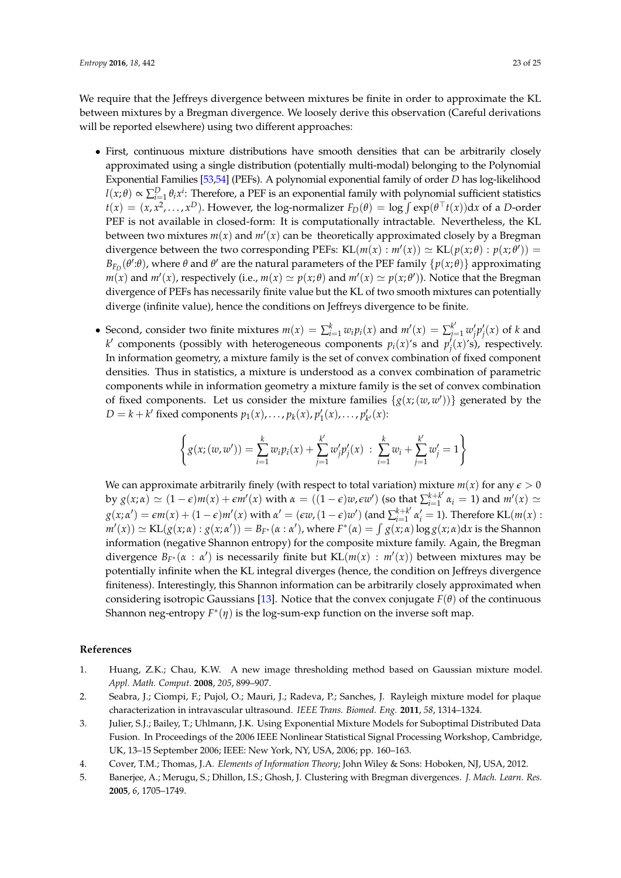We require that the Jeffreys divergence between mixtures be finite in order to approximate the KL between mixtures by a Bregman divergence. We loosely derive this observation (Careful derivations will be reported elsewhere) using two different approaches:

- First, continuous mixture distributions have smooth densities that can be arbitrarily closely approximated using a single distribution (potentially multi-modal) belonging to the Polynomial Exponential Families [\[53,](#page-24-23)[54\]](#page-24-24) (PEFs). A polynomial exponential family of order *D* has log-likelihood  $l(x; \theta) \propto \sum_{i=1}^{D} \theta_i x^i$ : Therefore, a PEF is an exponential family with polynomial sufficient statistics  $t(x) = (x, x^2, \ldots, x^D)$ . However, the log-normalizer  $F_D(\theta) = \log \int \exp(\theta^\top t(x)) dx$  of a *D*-order PEF is not available in closed-form: It is computationally intractable. Nevertheless, the KL between two mixtures  $m(x)$  and  $m'(x)$  can be theoretically approximated closely by a Bregman divergence between the two corresponding PEFs:  $KL(m(x) : m'(x)) \simeq KL(p(x; \theta) : p(x; \theta'))$ *B*<sub>*FD*</sub>(*θ*':*θ*), where *θ* and *θ*' are the natural parameters of the PEF family  $\{p(x; \theta)\}$  approximating  $m(x)$  and  $m'(x)$ , respectively (i.e.,  $m(x)\simeq p(x;\theta)$  and  $m'(x)\simeq p(x;\theta')$ ). Notice that the Bregman divergence of PEFs has necessarily finite value but the KL of two smooth mixtures can potentially diverge (infinite value), hence the conditions on Jeffreys divergence to be finite.
- Second, consider two finite mixtures  $m(x) = \sum_{i=1}^{k} w_i p_i(x)$  and  $m'(x) = \sum_{j=1}^{k'} w'_j p'_j(x)$  of k and *k*<sup> $\prime$ </sup> components (possibly with heterogeneous components  $p_i(x)$ 's and  $p'_j(x)$ 's), respectively. In information geometry, a mixture family is the set of convex combination of fixed component densities. Thus in statistics, a mixture is understood as a convex combination of parametric components while in information geometry a mixture family is the set of convex combination of fixed components. Let us consider the mixture families  $\{g(x; (w, w'))\}$  generated by the  $D = k + k'$  fixed components  $p_1(x), \ldots, p_k(x), p'_1(x), \ldots, p'_{k'}(x)$ :

$$
\left\{ g(x; (w, w')) = \sum_{i=1}^{k} w_i p_i(x) + \sum_{j=1}^{k'} w'_j p'_j(x) : \sum_{i=1}^{k} w_i + \sum_{j=1}^{k'} w'_j = 1 \right\}
$$

We can approximate arbitrarily finely (with respect to total variation) mixture  $m(x)$  for any  $\epsilon > 0$ by  $g(x;\alpha) \simeq (1-\epsilon)m(x) + \epsilon m'(x)$  with  $\alpha = ((1-\epsilon)w, \epsilon w')$  (so that  $\sum_{i=1}^{k+k'} \alpha_i = 1$ ) and  $m'(x) \simeq$  $g(x;\alpha') = \epsilon m(x) + (1-\epsilon)m'(x)$  with  $\alpha' = (\epsilon w, (1-\epsilon)w')$  (and  $\sum_{i=1}^{k+k'} \alpha'_i = 1$ ). Therefore KL $(m(x)$ :  $m'(x)) \simeq \text{KL}(g(x; \alpha) : g(x; \alpha')) = B_{F^*}(\alpha : \alpha')$ , where  $F^*(\alpha) = \int g(x; \alpha) \log g(x; \alpha) dx$  is the Shannon information (negative Shannon entropy) for the composite mixture family. Again, the Bregman divergence  $B_{F^*}(\alpha : \alpha')$  is necessarily finite but  $KL(m(x) : m'(x))$  between mixtures may be potentially infinite when the KL integral diverges (hence, the condition on Jeffreys divergence finiteness). Interestingly, this Shannon information can be arbitrarily closely approximated when considering isotropic Gaussians [\[13\]](#page-23-5). Notice that the convex conjugate  $F(\theta)$  of the continuous Shannon neg-entropy *F* ∗ (*η*) is the log-sum-exp function on the inverse soft map.

# **References**

- <span id="page-22-0"></span>1. Huang, Z.K.; Chau, K.W. A new image thresholding method based on Gaussian mixture model. *Appl. Math. Comput.* **2008**, *205*, 899–907.
- <span id="page-22-2"></span>2. Seabra, J.; Ciompi, F.; Pujol, O.; Mauri, J.; Radeva, P.; Sanches, J. Rayleigh mixture model for plaque characterization in intravascular ultrasound. *IEEE Trans. Biomed. Eng.* **2011**, *58*, 1314–1324.
- <span id="page-22-1"></span>3. Julier, S.J.; Bailey, T.; Uhlmann, J.K. Using Exponential Mixture Models for Suboptimal Distributed Data Fusion. In Proceedings of the 2006 IEEE Nonlinear Statistical Signal Processing Workshop, Cambridge, UK, 13–15 September 2006; IEEE: New York, NY, USA, 2006; pp. 160–163.
- <span id="page-22-3"></span>4. Cover, T.M.; Thomas, J.A. *Elements of Information Theory*; John Wiley & Sons: Hoboken, NJ, USA, 2012.
- <span id="page-22-4"></span>5. Banerjee, A.; Merugu, S.; Dhillon, I.S.; Ghosh, J. Clustering with Bregman divergences. *J. Mach. Learn. Res.* **2005**, *6*, 1705–1749.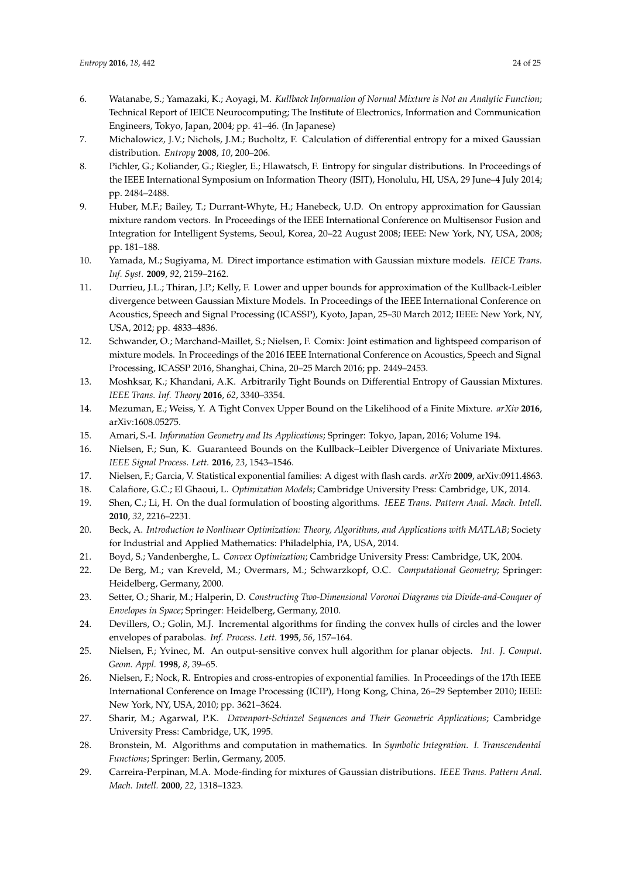- <span id="page-23-0"></span>6. Watanabe, S.; Yamazaki, K.; Aoyagi, M. *Kullback Information of Normal Mixture is Not an Analytic Function*; Technical Report of IEICE Neurocomputing; The Institute of Electronics, Information and Communication Engineers, Tokyo, Japan, 2004; pp. 41–46. (In Japanese)
- <span id="page-23-1"></span>7. Michalowicz, J.V.; Nichols, J.M.; Bucholtz, F. Calculation of differential entropy for a mixed Gaussian distribution. *Entropy* **2008**, *10*, 200–206.
- <span id="page-23-2"></span>8. Pichler, G.; Koliander, G.; Riegler, E.; Hlawatsch, F. Entropy for singular distributions. In Proceedings of the IEEE International Symposium on Information Theory (ISIT), Honolulu, HI, USA, 29 June–4 July 2014; pp. 2484–2488.
- <span id="page-23-3"></span>9. Huber, M.F.; Bailey, T.; Durrant-Whyte, H.; Hanebeck, U.D. On entropy approximation for Gaussian mixture random vectors. In Proceedings of the IEEE International Conference on Multisensor Fusion and Integration for Intelligent Systems, Seoul, Korea, 20–22 August 2008; IEEE: New York, NY, USA, 2008; pp. 181–188.
- 10. Yamada, M.; Sugiyama, M. Direct importance estimation with Gaussian mixture models. *IEICE Trans. Inf. Syst.* **2009**, *92*, 2159–2162.
- 11. Durrieu, J.L.; Thiran, J.P.; Kelly, F. Lower and upper bounds for approximation of the Kullback-Leibler divergence between Gaussian Mixture Models. In Proceedings of the IEEE International Conference on Acoustics, Speech and Signal Processing (ICASSP), Kyoto, Japan, 25–30 March 2012; IEEE: New York, NY, USA, 2012; pp. 4833–4836.
- <span id="page-23-4"></span>12. Schwander, O.; Marchand-Maillet, S.; Nielsen, F. Comix: Joint estimation and lightspeed comparison of mixture models. In Proceedings of the 2016 IEEE International Conference on Acoustics, Speech and Signal Processing, ICASSP 2016, Shanghai, China, 20–25 March 2016; pp. 2449–2453.
- <span id="page-23-5"></span>13. Moshksar, K.; Khandani, A.K. Arbitrarily Tight Bounds on Differential Entropy of Gaussian Mixtures. *IEEE Trans. Inf. Theory* **2016**, *62*, 3340–3354.
- <span id="page-23-6"></span>14. Mezuman, E.; Weiss, Y. A Tight Convex Upper Bound on the Likelihood of a Finite Mixture. *arXiv* **2016**, arXiv:1608.05275.
- <span id="page-23-7"></span>15. Amari, S.-I. *Information Geometry and Its Applications*; Springer: Tokyo, Japan, 2016; Volume 194.
- <span id="page-23-8"></span>16. Nielsen, F.; Sun, K. Guaranteed Bounds on the Kullback–Leibler Divergence of Univariate Mixtures. *IEEE Signal Process. Lett.* **2016**, *23*, 1543–1546.
- <span id="page-23-9"></span>17. Nielsen, F.; Garcia, V. Statistical exponential families: A digest with flash cards. *arXiv* **2009**, arXiv:0911.4863.
- <span id="page-23-10"></span>18. Calafiore, G.C.; El Ghaoui, L. *Optimization Models*; Cambridge University Press: Cambridge, UK, 2014.
- <span id="page-23-11"></span>19. Shen, C.; Li, H. On the dual formulation of boosting algorithms. *IEEE Trans. Pattern Anal. Mach. Intell.* **2010**, *32*, 2216–2231.
- <span id="page-23-12"></span>20. Beck, A. *Introduction to Nonlinear Optimization: Theory, Algorithms, and Applications with MATLAB*; Society for Industrial and Applied Mathematics: Philadelphia, PA, USA, 2014.
- <span id="page-23-13"></span>21. Boyd, S.; Vandenberghe, L. *Convex Optimization*; Cambridge University Press: Cambridge, UK, 2004.
- <span id="page-23-14"></span>22. De Berg, M.; van Kreveld, M.; Overmars, M.; Schwarzkopf, O.C. *Computational Geometry*; Springer: Heidelberg, Germany, 2000.
- <span id="page-23-15"></span>23. Setter, O.; Sharir, M.; Halperin, D. *Constructing Two-Dimensional Voronoi Diagrams via Divide-and-Conquer of Envelopes in Space*; Springer: Heidelberg, Germany, 2010.
- <span id="page-23-16"></span>24. Devillers, O.; Golin, M.J. Incremental algorithms for finding the convex hulls of circles and the lower envelopes of parabolas. *Inf. Process. Lett.* **1995**, *56*, 157–164.
- <span id="page-23-17"></span>25. Nielsen, F.; Yvinec, M. An output-sensitive convex hull algorithm for planar objects. *Int. J. Comput. Geom. Appl.* **1998**, *8*, 39–65.
- <span id="page-23-18"></span>26. Nielsen, F.; Nock, R. Entropies and cross-entropies of exponential families. In Proceedings of the 17th IEEE International Conference on Image Processing (ICIP), Hong Kong, China, 26–29 September 2010; IEEE: New York, NY, USA, 2010; pp. 3621–3624.
- <span id="page-23-19"></span>27. Sharir, M.; Agarwal, P.K. *Davenport-Schinzel Sequences and Their Geometric Applications*; Cambridge University Press: Cambridge, UK, 1995.
- <span id="page-23-20"></span>28. Bronstein, M. Algorithms and computation in mathematics. In *Symbolic Integration. I. Transcendental Functions*; Springer: Berlin, Germany, 2005.
- <span id="page-23-21"></span>29. Carreira-Perpinan, M.A. Mode-finding for mixtures of Gaussian distributions. *IEEE Trans. Pattern Anal. Mach. Intell.* **2000**, *22*, 1318–1323.